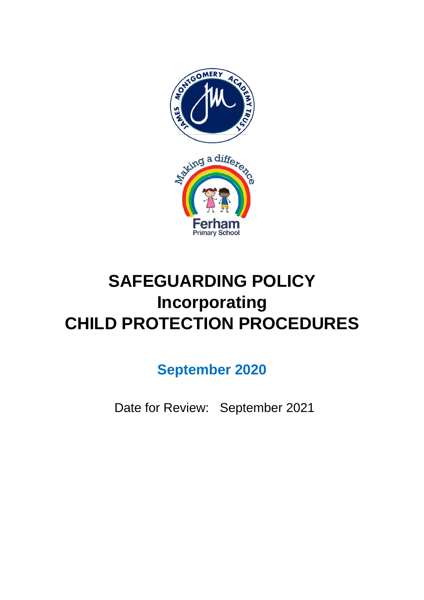

# **SAFEGUARDING POLICY Incorporating CHILD PROTECTION PROCEDURES**

**September 2020**

Date for Review: September 2021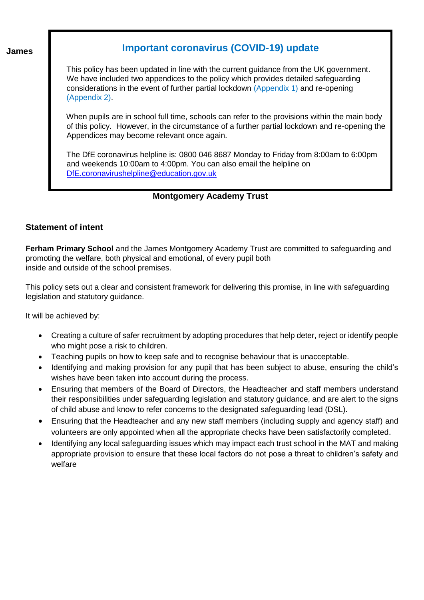**James** 

# **Important coronavirus (COVID-19) update**

 This policy has been updated in line with the current guidance from the UK government. We have included two appendices to the policy which provides detailed safeguarding considerations in the event of further partial lockdown (Appendix 1) and re-opening (Appendix 2).

 When pupils are in school full time, schools can refer to the provisions within the main body of this policy. However, in the circumstance of a further partial lockdown and re-opening the Appendices may become relevant once again.

 The DfE coronavirus helpline is: 0800 046 8687 Monday to Friday from 8:00am to 6:00pm and weekends 10:00am to 4:00pm. You can also email the helpline on [DfE.coronavirushelpline@education.gov.uk](mailto:DfE.coronavirushelpline@education.gov.uk)

# **Montgomery Academy Trust**

# **Statement of intent**

**Ferham Primary School** and the James Montgomery Academy Trust are committed to safeguarding and promoting the welfare, both physical and emotional, of every pupil both inside and outside of the school premises.

This policy sets out a clear and consistent framework for delivering this promise, in line with safeguarding legislation and statutory guidance.

It will be achieved by:

- Creating a culture of safer recruitment by adopting procedures that help deter, reject or identify people who might pose a risk to children.
- Teaching pupils on how to keep safe and to recognise behaviour that is unacceptable.
- Identifying and making provision for any pupil that has been subject to abuse, ensuring the child's wishes have been taken into account during the process.
- Ensuring that members of the Board of Directors, the Headteacher and staff members understand their responsibilities under safeguarding legislation and statutory guidance, and are alert to the signs of child abuse and know to refer concerns to the designated safeguarding lead (DSL).
- Ensuring that the Headteacher and any new staff members (including supply and agency staff) and volunteers are only appointed when all the appropriate checks have been satisfactorily completed.
- Identifying any local safeguarding issues which may impact each trust school in the MAT and making appropriate provision to ensure that these local factors do not pose a threat to children's safety and welfare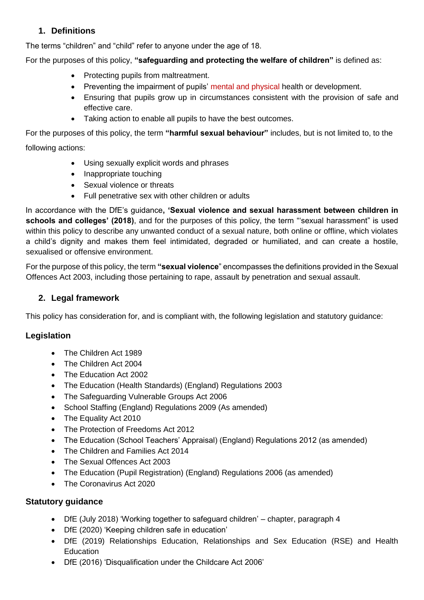# **1. Definitions**

The terms "children" and "child" refer to anyone under the age of 18.

For the purposes of this policy, **"safeguarding and protecting the welfare of children"** is defined as:

- Protecting pupils from maltreatment.
- Preventing the impairment of pupils' mental and physical health or development.
- Ensuring that pupils grow up in circumstances consistent with the provision of safe and effective care.
- Taking action to enable all pupils to have the best outcomes.

For the purposes of this policy, the term **"harmful sexual behaviour"** includes, but is not limited to, to the following actions:

- Using sexually explicit words and phrases
- Inappropriate touching
- Sexual violence or threats
- Full penetrative sex with other children or adults

In accordance with the DfE's guidance**, 'Sexual violence and sexual harassment between children in schools and colleges' (2018)**, and for the purposes of this policy, the term "'sexual harassment" is used within this policy to describe any unwanted conduct of a sexual nature, both online or offline, which violates a child's dignity and makes them feel intimidated, degraded or humiliated, and can create a hostile, sexualised or offensive environment.

For the purpose of this policy, the term **"sexual violence**" encompasses the definitions provided in the Sexual Offences Act 2003, including those pertaining to rape, assault by penetration and sexual assault.

# **2. Legal framework**

This policy has consideration for, and is compliant with, the following legislation and statutory guidance:

# **Legislation**

- The Children Act 1989
- The Children Act 2004
- The Education Act 2002
- The Education (Health Standards) (England) Regulations 2003
- The Safeguarding Vulnerable Groups Act 2006
- School Staffing (England) Regulations 2009 (As amended)
- The Equality Act 2010
- The Protection of Freedoms Act 2012
- The Education (School Teachers' Appraisal) (England) Regulations 2012 (as amended)
- The Children and Families Act 2014
- The Sexual Offences Act 2003
- The Education (Pupil Registration) (England) Regulations 2006 (as amended)
- The Coronavirus Act 2020

# **Statutory guidance**

- DfE (July 2018) 'Working together to safeguard children' chapter, paragraph 4
- DfE (2020) 'Keeping children safe in education'
- DfE (2019) Relationships Education, Relationships and Sex Education (RSE) and Health **Education**
- DfE (2016) 'Disqualification under the Childcare Act 2006'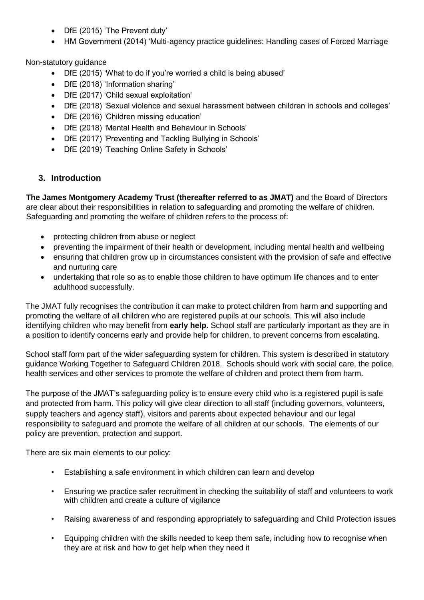- DfE (2015) 'The Prevent duty'
- HM Government (2014) 'Multi-agency practice guidelines: Handling cases of Forced Marriage

Non-statutory guidance

- DfE (2015) 'What to do if you're worried a child is being abused'
- DfE (2018) 'Information sharing'
- DfE (2017) 'Child sexual exploitation'
- DfE (2018) 'Sexual violence and sexual harassment between children in schools and colleges'
- DfE (2016) 'Children missing education'
- DfE (2018) 'Mental Health and Behaviour in Schools'
- DfE (2017) 'Preventing and Tackling Bullying in Schools'
- DfE (2019) 'Teaching Online Safety in Schools'

# **3. Introduction**

**The James Montgomery Academy Trust (thereafter referred to as JMAT)** and the Board of Directors are clear about their responsibilities in relation to safeguarding and promoting the welfare of children. Safeguarding and promoting the welfare of children refers to the process of:

- protecting children from abuse or neglect
- preventing the impairment of their health or development, including mental health and wellbeing
- ensuring that children grow up in circumstances consistent with the provision of safe and effective and nurturing care
- undertaking that role so as to enable those children to have optimum life chances and to enter adulthood successfully.

The JMAT fully recognises the contribution it can make to protect children from harm and supporting and promoting the welfare of all children who are registered pupils at our schools. This will also include identifying children who may benefit from **early help**. School staff are particularly important as they are in a position to identify concerns early and provide help for children, to prevent concerns from escalating.

School staff form part of the wider safeguarding system for children. This system is described in statutory guidance Working Together to Safeguard Children 2018. Schools should work with social care, the police, health services and other services to promote the welfare of children and protect them from harm.

The purpose of the JMAT's safeguarding policy is to ensure every child who is a registered pupil is safe and protected from harm. This policy will give clear direction to all staff (including governors, volunteers, supply teachers and agency staff), visitors and parents about expected behaviour and our legal responsibility to safeguard and promote the welfare of all children at our schools. The elements of our policy are prevention, protection and support.

There are six main elements to our policy:

- Establishing a safe environment in which children can learn and develop
- Ensuring we practice safer recruitment in checking the suitability of staff and volunteers to work with children and create a culture of vigilance
- Raising awareness of and responding appropriately to safeguarding and Child Protection issues
- Equipping children with the skills needed to keep them safe, including how to recognise when they are at risk and how to get help when they need it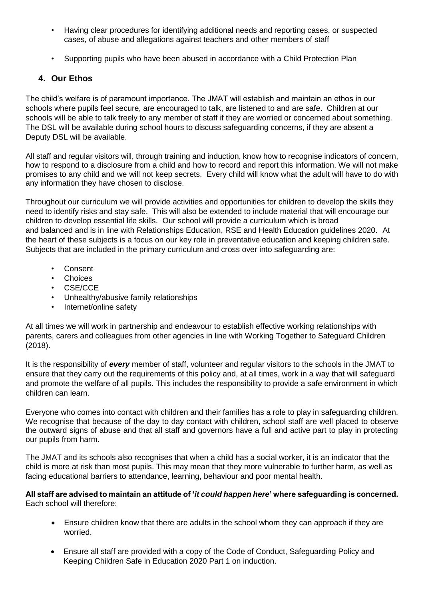- Having clear procedures for identifying additional needs and reporting cases, or suspected cases, of abuse and allegations against teachers and other members of staff
- Supporting pupils who have been abused in accordance with a Child Protection Plan

# **4. Our Ethos**

The child's welfare is of paramount importance. The JMAT will establish and maintain an ethos in our schools where pupils feel secure, are encouraged to talk, are listened to and are safe. Children at our schools will be able to talk freely to any member of staff if they are worried or concerned about something. The DSL will be available during school hours to discuss safeguarding concerns, if they are absent a Deputy DSL will be available.

All staff and regular visitors will, through training and induction, know how to recognise indicators of concern, how to respond to a disclosure from a child and how to record and report this information. We will not make promises to any child and we will not keep secrets. Every child will know what the adult will have to do with any information they have chosen to disclose.

Throughout our curriculum we will provide activities and opportunities for children to develop the skills they need to identify risks and stay safe. This will also be extended to include material that will encourage our children to develop essential life skills. Our school will provide a curriculum which is broad and balanced and is in line with Relationships Education, RSE and Health Education guidelines 2020. At the heart of these subjects is a focus on our key role in preventative education and keeping children safe. Subjects that are included in the primary curriculum and cross over into safeguarding are:

- **Consent**
- Choices
- CSE/CCE
- Unhealthy/abusive family relationships
- Internet/online safety

At all times we will work in partnership and endeavour to establish effective working relationships with parents, carers and colleagues from other agencies in line with Working Together to Safeguard Children (2018).

It is the responsibility of *every* member of staff, volunteer and regular visitors to the schools in the JMAT to ensure that they carry out the requirements of this policy and, at all times, work in a way that will safeguard and promote the welfare of all pupils. This includes the responsibility to provide a safe environment in which children can learn.

Everyone who comes into contact with children and their families has a role to play in safeguarding children. We recognise that because of the day to day contact with children, school staff are well placed to observe the outward signs of abuse and that all staff and governors have a full and active part to play in protecting our pupils from harm.

The JMAT and its schools also recognises that when a child has a social worker, it is an indicator that the child is more at risk than most pupils. This may mean that they more vulnerable to further harm, as well as facing educational barriers to attendance, learning, behaviour and poor mental health.

**All staff are advised to maintain an attitude of '***it could happen here***' where safeguarding is concerned.**  Each school will therefore:

- Ensure children know that there are adults in the school whom they can approach if they are worried.
- Ensure all staff are provided with a copy of the Code of Conduct, Safeguarding Policy and Keeping Children Safe in Education 2020 Part 1 on induction.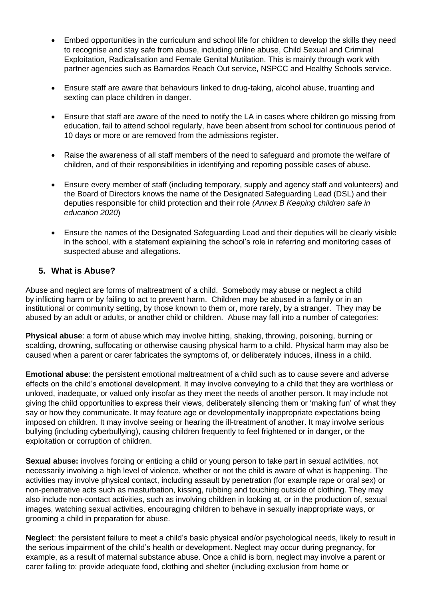- Embed opportunities in the curriculum and school life for children to develop the skills they need to recognise and stay safe from abuse, including online abuse, Child Sexual and Criminal Exploitation, Radicalisation and Female Genital Mutilation. This is mainly through work with partner agencies such as Barnardos Reach Out service, NSPCC and Healthy Schools service.
- Ensure staff are aware that behaviours linked to drug-taking, alcohol abuse, truanting and sexting can place children in danger.
- Ensure that staff are aware of the need to notify the LA in cases where children go missing from education, fail to attend school regularly, have been absent from school for continuous period of 10 days or more or are removed from the admissions register.
- Raise the awareness of all staff members of the need to safeguard and promote the welfare of children, and of their responsibilities in identifying and reporting possible cases of abuse.
- Ensure every member of staff (including temporary, supply and agency staff and volunteers) and the Board of Directors knows the name of the Designated Safeguarding Lead (DSL) and their deputies responsible for child protection and their role *(Annex B Keeping children safe in education 2020*)
- Ensure the names of the Designated Safeguarding Lead and their deputies will be clearly visible in the school, with a statement explaining the school's role in referring and monitoring cases of suspected abuse and allegations.

#### **5. What is Abuse?**

Abuse and neglect are forms of maltreatment of a child. Somebody may abuse or neglect a child by inflicting harm or by failing to act to prevent harm. Children may be abused in a family or in an institutional or community setting, by those known to them or, more rarely, by a stranger. They may be abused by an adult or adults, or another child or children. Abuse may fall into a number of categories:

**Physical abuse**: a form of abuse which may involve hitting, shaking, throwing, poisoning, burning or scalding, drowning, suffocating or otherwise causing physical harm to a child. Physical harm may also be caused when a parent or carer fabricates the symptoms of, or deliberately induces, illness in a child.

**Emotional abuse**: the persistent emotional maltreatment of a child such as to cause severe and adverse effects on the child's emotional development. It may involve conveying to a child that they are worthless or unloved, inadequate, or valued only insofar as they meet the needs of another person. It may include not giving the child opportunities to express their views, deliberately silencing them or 'making fun' of what they say or how they communicate. It may feature age or developmentally inappropriate expectations being imposed on children. It may involve seeing or hearing the ill-treatment of another. It may involve serious bullying (including cyberbullying), causing children frequently to feel frightened or in danger, or the exploitation or corruption of children.

**Sexual abuse:** involves forcing or enticing a child or young person to take part in sexual activities, not necessarily involving a high level of violence, whether or not the child is aware of what is happening. The activities may involve physical contact, including assault by penetration (for example rape or oral sex) or non-penetrative acts such as masturbation, kissing, rubbing and touching outside of clothing. They may also include non-contact activities, such as involving children in looking at, or in the production of, sexual images, watching sexual activities, encouraging children to behave in sexually inappropriate ways, or grooming a child in preparation for abuse.

**Neglect**: the persistent failure to meet a child's basic physical and/or psychological needs, likely to result in the serious impairment of the child's health or development. Neglect may occur during pregnancy, for example, as a result of maternal substance abuse. Once a child is born, neglect may involve a parent or carer failing to: provide adequate food, clothing and shelter (including exclusion from home or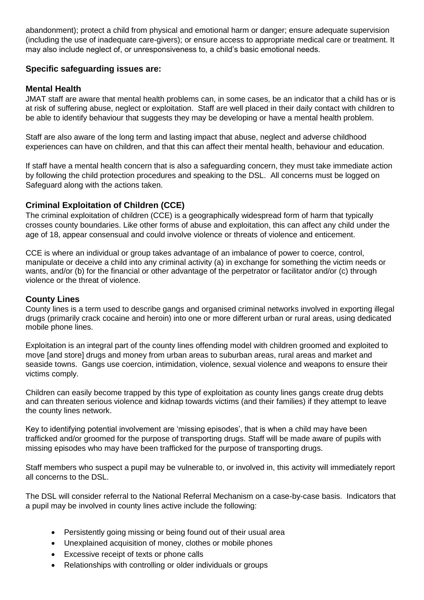abandonment); protect a child from physical and emotional harm or danger; ensure adequate supervision (including the use of inadequate care-givers); or ensure access to appropriate medical care or treatment. It may also include neglect of, or unresponsiveness to, a child's basic emotional needs.

# **Specific safeguarding issues are:**

#### **Mental Health**

JMAT staff are aware that mental health problems can, in some cases, be an indicator that a child has or is at risk of suffering abuse, neglect or exploitation. Staff are well placed in their daily contact with children to be able to identify behaviour that suggests they may be developing or have a mental health problem.

Staff are also aware of the long term and lasting impact that abuse, neglect and adverse childhood experiences can have on children, and that this can affect their mental health, behaviour and education.

If staff have a mental health concern that is also a safeguarding concern, they must take immediate action by following the child protection procedures and speaking to the DSL. All concerns must be logged on Safeguard along with the actions taken.

# **Criminal Exploitation of Children (CCE)**

The criminal exploitation of children (CCE) is a geographically widespread form of harm that typically crosses county boundaries. Like other forms of abuse and exploitation, this can affect any child under the age of 18, appear consensual and could involve violence or threats of violence and enticement.

CCE is where an individual or group takes advantage of an imbalance of power to coerce, control, manipulate or deceive a child into any criminal activity (a) in exchange for something the victim needs or wants, and/or (b) for the financial or other advantage of the perpetrator or facilitator and/or (c) through violence or the threat of violence.

#### **County Lines**

County lines is a term used to describe gangs and organised criminal networks involved in exporting illegal drugs (primarily crack cocaine and heroin) into one or more different urban or rural areas, using dedicated mobile phone lines.

Exploitation is an integral part of the county lines offending model with children groomed and exploited to move [and store] drugs and money from urban areas to suburban areas, rural areas and market and seaside towns. Gangs use coercion, intimidation, violence, sexual violence and weapons to ensure their victims comply.

Children can easily become trapped by this type of exploitation as county lines gangs create drug debts and can threaten serious violence and kidnap towards victims (and their families) if they attempt to leave the county lines network.

Key to identifying potential involvement are 'missing episodes', that is when a child may have been trafficked and/or groomed for the purpose of transporting drugs. Staff will be made aware of pupils with missing episodes who may have been trafficked for the purpose of transporting drugs.

Staff members who suspect a pupil may be vulnerable to, or involved in, this activity will immediately report all concerns to the DSL.

The DSL will consider referral to the National Referral Mechanism on a case-by-case basis. Indicators that a pupil may be involved in county lines active include the following:

- Persistently going missing or being found out of their usual area
- Unexplained acquisition of money, clothes or mobile phones
- Excessive receipt of texts or phone calls
- Relationships with controlling or older individuals or groups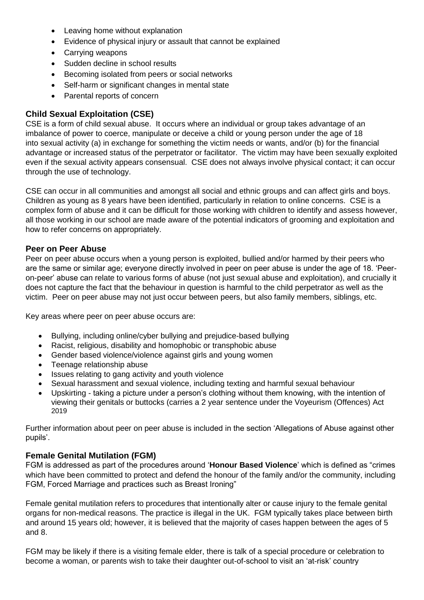- Leaving home without explanation
- Evidence of physical injury or assault that cannot be explained
- Carrying weapons
- Sudden decline in school results
- **Becoming isolated from peers or social networks**
- Self-harm or significant changes in mental state
- Parental reports of concern

# **Child Sexual Exploitation (CSE)**

CSE is a form of child sexual abuse. It occurs where an individual or group takes advantage of an imbalance of power to coerce, manipulate or deceive a child or young person under the age of 18 into sexual activity (a) in exchange for something the victim needs or wants, and/or (b) for the financial advantage or increased status of the perpetrator or facilitator. The victim may have been sexually exploited even if the sexual activity appears consensual. CSE does not always involve physical contact; it can occur through the use of technology.

CSE can occur in all communities and amongst all social and ethnic groups and can affect girls and boys. Children as young as 8 years have been identified, particularly in relation to online concerns. CSE is a complex form of abuse and it can be difficult for those working with children to identify and assess however, all those working in our school are made aware of the potential indicators of grooming and exploitation and how to refer concerns on appropriately.

#### **Peer on Peer Abuse**

Peer on peer abuse occurs when a young person is exploited, bullied and/or harmed by their peers who are the same or similar age; everyone directly involved in peer on peer abuse is under the age of 18. 'Peeron-peer' abuse can relate to various forms of abuse (not just sexual abuse and exploitation), and crucially it does not capture the fact that the behaviour in question is harmful to the child perpetrator as well as the victim. Peer on peer abuse may not just occur between peers, but also family members, siblings, etc.

Key areas where peer on peer abuse occurs are:

- Bullying, including online/cyber bullying and prejudice-based bullying
- Racist, religious, disability and homophobic or transphobic abuse
- Gender based violence/violence against girls and young women
- Teenage relationship abuse
- Issues relating to gang activity and youth violence
- Sexual harassment and sexual violence, including texting and harmful sexual behaviour
- Upskirting taking a picture under a person's clothing without them knowing, with the intention of viewing their genitals or buttocks (carries a 2 year sentence under the Voyeurism (Offences) Act 2019

Further information about peer on peer abuse is included in the section 'Allegations of Abuse against other pupils'.

# **Female Genital Mutilation (FGM)**

FGM is addressed as part of the procedures around '**Honour Based Violence**' which is defined as "crimes which have been committed to protect and defend the honour of the family and/or the community, including FGM, Forced Marriage and practices such as Breast Ironing"

Female genital mutilation refers to procedures that intentionally alter or cause injury to the female genital organs for non-medical reasons. The practice is illegal in the UK. FGM typically takes place between birth and around 15 years old; however, it is believed that the majority of cases happen between the ages of 5 and 8.

FGM may be likely if there is a visiting female elder, there is talk of a special procedure or celebration to become a woman, or parents wish to take their daughter out-of-school to visit an 'at-risk' country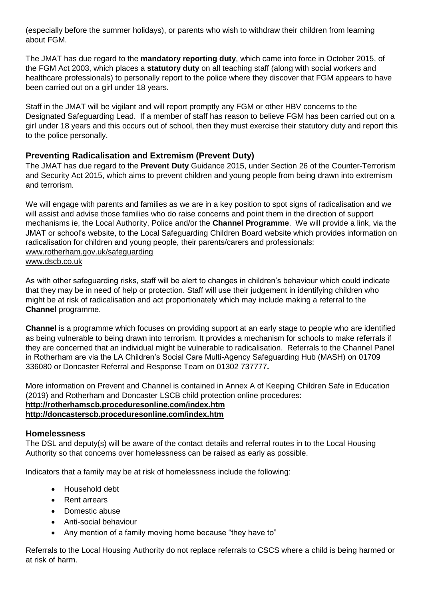(especially before the summer holidays), or parents who wish to withdraw their children from learning about FGM.

The JMAT has due regard to the **mandatory reporting duty**, which came into force in October 2015, of the FGM Act 2003, which places a **statutory duty** on all teaching staff (along with social workers and healthcare professionals) to personally report to the police where they discover that FGM appears to have been carried out on a girl under 18 years.

Staff in the JMAT will be vigilant and will report promptly any FGM or other HBV concerns to the Designated Safeguarding Lead. If a member of staff has reason to believe FGM has been carried out on a girl under 18 years and this occurs out of school, then they must exercise their statutory duty and report this to the police personally.

# **Preventing Radicalisation and Extremism (Prevent Duty)**

The JMAT has due regard to the **Prevent Duty** Guidance 2015, under Section 26 of the Counter-Terrorism and Security Act 2015, which aims to prevent children and young people from being drawn into extremism and terrorism.

We will engage with parents and families as we are in a key position to spot signs of radicalisation and we will assist and advise those families who do raise concerns and point them in the direction of support mechanisms ie, the Local Authority, Police and/or the **Channel Programme**. We will provide a link, via the JMAT or school's website, to the Local Safeguarding Children Board website which provides information on radicalisation for children and young people, their parents/carers and professionals: [www.rotherham.gov.uk/safeguarding](http://www.rotherham.gov.uk/safeguarding) [www.dscb.co.uk](http://www.dscb.co.uk/)

As with other safeguarding risks, staff will be alert to changes in children's behaviour which could indicate that they may be in need of help or protection. Staff will use their judgement in identifying children who might be at risk of radicalisation and act proportionately which may include making a referral to the **Channel** programme.

**Channel** is a programme which focuses on providing support at an early stage to people who are identified as being vulnerable to being drawn into terrorism. It provides a mechanism for schools to make referrals if they are concerned that an individual might be vulnerable to radicalisation. Referrals to the Channel Panel in Rotherham are via the LA Children's Social Care Multi-Agency Safeguarding Hub (MASH) on 01709 336080 or Doncaster Referral and Response Team on 01302 737777**.**

More information on Prevent and Channel is contained in Annex A of Keeping Children Safe in Education (2019) and Rotherham and Doncaster LSCB child protection online procedures: **<http://rotherhamscb.proceduresonline.com/index.htm> <http://doncasterscb.proceduresonline.com/index.htm>**

# **Homelessness**

The DSL and deputy(s) will be aware of the contact details and referral routes in to the Local Housing Authority so that concerns over homelessness can be raised as early as possible.

Indicators that a family may be at risk of homelessness include the following:

- Household debt
- Rent arrears
- Domestic abuse
- Anti-social behaviour
- Any mention of a family moving home because "they have to"

Referrals to the Local Housing Authority do not replace referrals to CSCS where a child is being harmed or at risk of harm.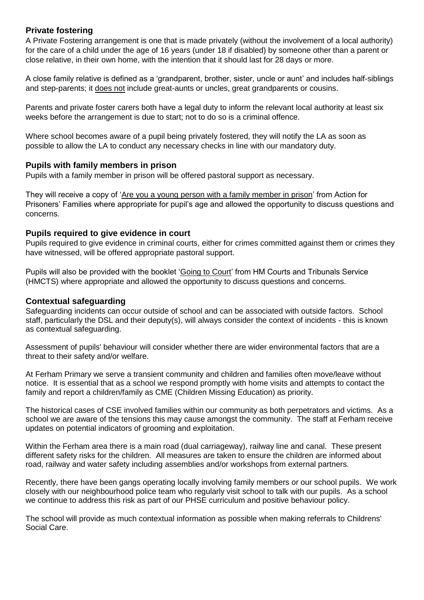# **Private fostering**

A Private Fostering arrangement is one that is made privately (without the involvement of a local authority) for the care of a child under the age of 16 years (under 18 if disabled) by someone other than a parent or close relative, in their own home, with the intention that it should last for 28 days or more.

A close family relative is defined as a 'grandparent, brother, sister, uncle or aunt' and includes half-siblings and step-parents; it does not include great-aunts or uncles, great grandparents or cousins.

Parents and private foster carers both have a legal duty to inform the relevant local authority at least six weeks before the arrangement is due to start; not to do so is a criminal offence.

Where school becomes aware of a pupil being privately fostered, they will notify the LA as soon as possible to allow the LA to conduct any necessary checks in line with our mandatory duty.

#### **Pupils with family members in prison**

Pupils with a family member in prison will be offered pastoral support as necessary.

They will receive a copy of ['Are you a young person with a family member in prison'](https://www.nicco.org.uk/directory-of-resources) from Action for Prisoners' Families where appropriate for pupil's age and allowed the opportunity to discuss questions and concerns.

#### **Pupils required to give evidence in court**

Pupils required to give evidence in criminal courts, either for crimes committed against them or crimes they have witnessed, will be offered appropriate pastoral support.

Pupils will also be provided with the booklet ['Going to Court'](https://www.gov.uk/government/publications/young-witness-booklet-for-5-to-11-year-olds) from HM Courts and Tribunals Service (HMCTS) where appropriate and allowed the opportunity to discuss questions and concerns.

#### **Contextual safeguarding**

Safeguarding incidents can occur outside of school and can be associated with outside factors. School staff, particularly the DSL and their deputy(s), will always consider the context of incidents - this is known as contextual safeguarding.

Assessment of pupils' behaviour will consider whether there are wider environmental factors that are a threat to their safety and/or welfare.

At Ferham Primary we serve a transient community and children and families often move/leave without notice. It is essential that as a school we respond promptly with home visits and attempts to contact the family and report a children/family as CME (Children Missing Education) as priority.

The historical cases of CSE involved families within our community as both perpetrators and victims. As a school we are aware of the tensions this may cause amongst the community. The staff at Ferham receive updates on potential indicators of grooming and exploitation.

Within the Ferham area there is a main road (dual carriageway), railway line and canal. These present different safety risks for the children. All measures are taken to ensure the children are informed about road, railway and water safety including assemblies and/or workshops from external partners.

Recently, there have been gangs operating locally involving family members or our school pupils. We work closely with our neighbourhood police team who regularly visit school to talk with our pupils. As a school we continue to address this risk as part of our PHSE curriculum and positive behaviour policy.

The school will provide as much contextual information as possible when making referrals to Childrens' Social Care.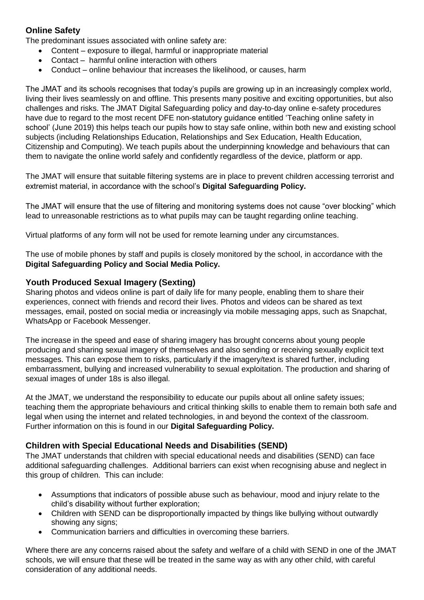# **Online Safety**

The predominant issues associated with online safety are:

- Content exposure to illegal, harmful or inappropriate material
- Contact harmful online interaction with others
- Conduct online behaviour that increases the likelihood, or causes, harm

The JMAT and its schools recognises that today's pupils are growing up in an increasingly complex world, living their lives seamlessly on and offline. This presents many positive and exciting opportunities, but also challenges and risks. The JMAT Digital Safeguarding policy and day-to-day online e-safety procedures have due to regard to the most recent DFE non-statutory guidance entitled 'Teaching online safety in school' (June 2019) this helps teach our pupils how to stay safe online, within both new and existing school subjects (including Relationships Education, Relationships and Sex Education, Health Education, Citizenship and Computing). We teach pupils about the underpinning knowledge and behaviours that can them to navigate the online world safely and confidently regardless of the device, platform or app.

The JMAT will ensure that suitable filtering systems are in place to prevent children accessing terrorist and extremist material, in accordance with the school's **Digital Safeguarding Policy.**

The JMAT will ensure that the use of filtering and monitoring systems does not cause "over blocking" which lead to unreasonable restrictions as to what pupils may can be taught regarding online teaching.

Virtual platforms of any form will not be used for remote learning under any circumstances.

The use of mobile phones by staff and pupils is closely monitored by the school, in accordance with the **Digital Safeguarding Policy and Social Media Policy.**

#### **Youth Produced Sexual Imagery (Sexting)**

Sharing photos and videos online is part of daily life for many people, enabling them to share their experiences, connect with friends and record their lives. Photos and videos can be shared as text messages, email, posted on social media or increasingly via mobile messaging apps, such as Snapchat, WhatsApp or Facebook Messenger.

The increase in the speed and ease of sharing imagery has brought concerns about young people producing and sharing sexual imagery of themselves and also sending or receiving sexually explicit text messages. This can expose them to risks, particularly if the imagery/text is shared further, including embarrassment, bullying and increased vulnerability to sexual exploitation. The production and sharing of sexual images of under 18s is also illegal.

At the JMAT, we understand the responsibility to educate our pupils about all online safety issues; teaching them the appropriate behaviours and critical thinking skills to enable them to remain both safe and legal when using the internet and related technologies, in and beyond the context of the classroom. Further information on this is found in our **Digital Safeguarding Policy.**

# **Children with Special Educational Needs and Disabilities (SEND)**

The JMAT understands that children with special educational needs and disabilities (SEND) can face additional safeguarding challenges. Additional barriers can exist when recognising abuse and neglect in this group of children. This can include:

- Assumptions that indicators of possible abuse such as behaviour, mood and injury relate to the child's disability without further exploration;
- Children with SEND can be disproportionally impacted by things like bullying without outwardly showing any signs;
- Communication barriers and difficulties in overcoming these barriers.

Where there are any concerns raised about the safety and welfare of a child with SEND in one of the JMAT schools, we will ensure that these will be treated in the same way as with any other child, with careful consideration of any additional needs.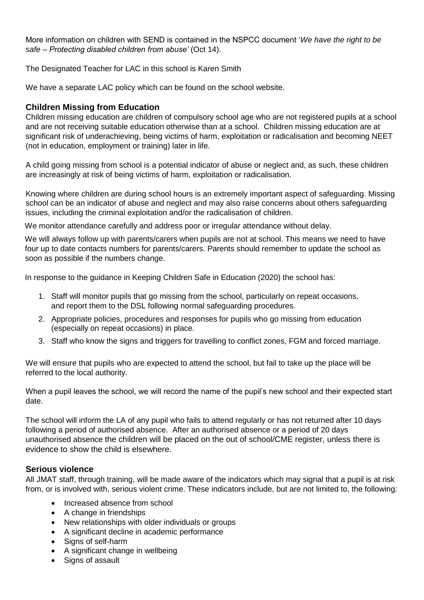More information on children with SEND is contained in the NSPCC document '*We have the right to be safe* – *Protecting disabled children from abuse'* (Oct 14).

The Designated Teacher for LAC in this school is Karen Smith

We have a separate LAC policy which can be found on the school website.

# **Children Missing from Education**

Children missing education are children of compulsory school age who are not registered pupils at a school and are not receiving suitable education otherwise than at a school. Children missing education are at significant risk of underachieving, being victims of harm, exploitation or radicalisation and becoming NEET (not in education, employment or training) later in life.

A child going missing from school is a potential indicator of abuse or neglect and, as such, these children are increasingly at risk of being victims of harm, exploitation or radicalisation.

Knowing where children are during school hours is an extremely important aspect of safeguarding. Missing school can be an indicator of abuse and neglect and may also raise concerns about others safeguarding issues, including the criminal exploitation and/or the radicalisation of children.

We monitor attendance carefully and address poor or irregular attendance without delay.

 We will always follow up with parents/carers when pupils are not at school. This means we need to have four up to date contacts numbers for parents/carers. Parents should remember to update the school as soon as possible if the numbers change.

In response to the guidance in Keeping Children Safe in Education (2020) the school has:

- 1. Staff will monitor pupils that go missing from the school, particularly on repeat occasions, and report them to the DSL following normal safeguarding procedures.
- 2. Appropriate policies, procedures and responses for pupils who go missing from education (especially on repeat occasions) in place.
- 3. Staff who know the signs and triggers for travelling to conflict zones, FGM and forced marriage.

We will ensure that pupils who are expected to attend the school, but fail to take up the place will be referred to the local authority.

When a pupil leaves the school, we will record the name of the pupil's new school and their expected start date.

The school will inform the LA of any pupil who fails to attend regularly or has not returned after 10 days following a period of authorised absence. After an authorised absence or a period of 20 days unauthorised absence the children will be placed on the out of school/CME register, unless there is evidence to show the child is elsewhere.

# **Serious violence**

All JMAT staff, through training, will be made aware of the indicators which may signal that a pupil is at risk from, or is involved with, serious violent crime. These indicators include, but are not limited to, the following:

- Increased absence from school
- A change in friendships
- New relationships with older individuals or groups
- A significant decline in academic performance
- Signs of self-harm
- A significant change in wellbeing
- Signs of assault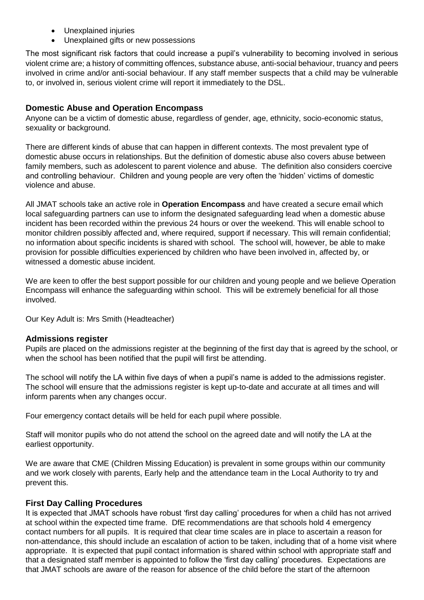- Unexplained injuries
- Unexplained gifts or new possessions

The most significant risk factors that could increase a pupil's vulnerability to becoming involved in serious violent crime are; a history of committing offences, substance abuse, anti-social behaviour, truancy and peers involved in crime and/or anti-social behaviour. If any staff member suspects that a child may be vulnerable to, or involved in, serious violent crime will report it immediately to the DSL.

# **Domestic Abuse and Operation Encompass**

Anyone can be a victim of domestic abuse, regardless of gender, age, ethnicity, socio-economic status, sexuality or background.

There are different kinds of abuse that can happen in different contexts. The most prevalent type of domestic abuse occurs in relationships. But the definition of domestic abuse also covers abuse between family members, such as adolescent to parent violence and abuse. The definition also considers coercive and controlling behaviour. Children and young people are very often the 'hidden' victims of domestic violence and abuse.

All JMAT schools take an active role in **Operation Encompass** and have created a secure email which local safeguarding partners can use to inform the designated safeguarding lead when a domestic abuse incident has been recorded within the previous 24 hours or over the weekend. This will enable school to monitor children possibly affected and, where required, support if necessary. This will remain confidential; no information about specific incidents is shared with school. The school will, however, be able to make provision for possible difficulties experienced by children who have been involved in, affected by, or witnessed a domestic abuse incident.

We are keen to offer the best support possible for our children and young people and we believe Operation Encompass will enhance the safeguarding within school. This will be extremely beneficial for all those involved.

Our Key Adult is: Mrs Smith (Headteacher)

# **Admissions register**

Pupils are placed on the admissions register at the beginning of the first day that is agreed by the school, or when the school has been notified that the pupil will first be attending.

The school will notify the LA within five days of when a pupil's name is added to the admissions register. The school will ensure that the admissions register is kept up-to-date and accurate at all times and will inform parents when any changes occur.

Four emergency contact details will be held for each pupil where possible.

Staff will monitor pupils who do not attend the school on the agreed date and will notify the LA at the earliest opportunity.

We are aware that CME (Children Missing Education) is prevalent in some groups within our community and we work closely with parents, Early help and the attendance team in the Local Authority to try and prevent this.

# **First Day Calling Procedures**

It is expected that JMAT schools have robust 'first day calling' procedures for when a child has not arrived at school within the expected time frame. DfE recommendations are that schools hold 4 emergency contact numbers for all pupils. It is required that clear time scales are in place to ascertain a reason for non-attendance, this should include an escalation of action to be taken, including that of a home visit where appropriate. It is expected that pupil contact information is shared within school with appropriate staff and that a designated staff member is appointed to follow the 'first day calling' procedures. Expectations are that JMAT schools are aware of the reason for absence of the child before the start of the afternoon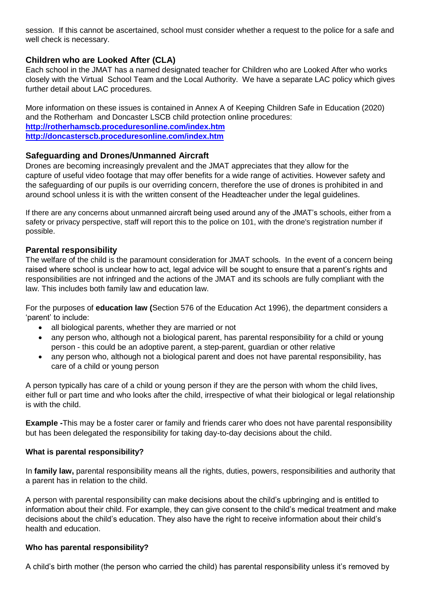session. If this cannot be ascertained, school must consider whether a request to the police for a safe and well check is necessary.

# **Children who are Looked After (CLA)**

Each school in the JMAT has a named designated teacher for Children who are Looked After who works closely with the Virtual School Team and the Local Authority. We have a separate LAC policy which gives further detail about LAC procedures.

More information on these issues is contained in Annex A of Keeping Children Safe in Education (2020) and the Rotherham and Doncaster LSCB child protection online procedures: **<http://rotherhamscb.proceduresonline.com/index.htm> <http://doncasterscb.proceduresonline.com/index.htm>**

# **Safeguarding and Drones/Unmanned Aircraft**

Drones are becoming increasingly prevalent and the JMAT appreciates that they allow for the capture of useful video footage that may offer benefits for a wide range of activities. However safety and the safeguarding of our pupils is our overriding concern, therefore the use of drones is prohibited in and around school unless it is with the written consent of the Headteacher under the legal guidelines.

If there are any concerns about unmanned aircraft being used around any of the JMAT's schools, either from a safety or privacy perspective, staff will report this to the police on 101, with the drone's registration number if possible.

# **Parental responsibility**

The welfare of the child is the paramount consideration for JMAT schools. In the event of a concern being raised where school is unclear how to act, legal advice will be sought to ensure that a parent's rights and responsibilities are not infringed and the actions of the JMAT and its schools are fully compliant with the law. This includes both family law and education law.

For the purposes of **education law (**Section 576 of the Education Act 1996), the department considers a 'parent' to include:

- all biological parents, whether they are married or not
- any person who, although not a biological parent, has parental responsibility for a child or young person - this could be an adoptive parent, a step-parent, guardian or other relative
- any person who, although not a biological parent and does not have parental responsibility, has care of a child or young person

A person typically has care of a child or young person if they are the person with whom the child lives, either full or part time and who looks after the child, irrespective of what their biological or legal relationship is with the child.

**Example -**This may be a foster carer or family and friends carer who does not have parental responsibility but has been delegated the responsibility for taking day-to-day decisions about the child.

#### **What is parental responsibility?**

In **[family](https://www.legislation.gov.uk/ukpga/1989/41/section/3) law,** parental responsibility means all the rights, duties, powers, responsibilities and authority that a parent has in relation to the child.

A person with parental responsibility can make decisions about the child's upbringing and is entitled to information about their child. For example, they can give consent to the child's medical treatment and make decisions about the child's education. They also have the right to receive information about their child's health and education.

#### **Who has parental responsibility?**

A child's birth mother (the person who carried the child) has parental responsibility unless it's removed by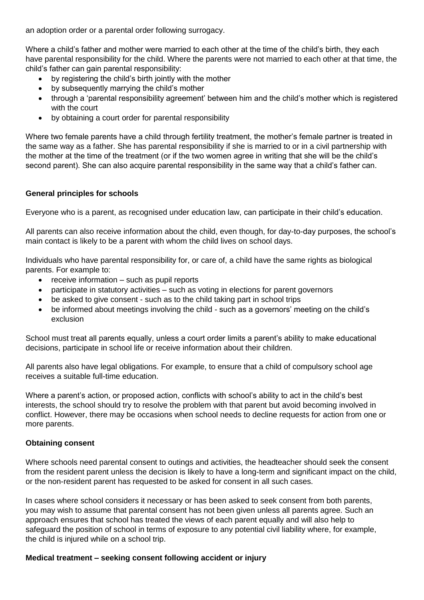an adoption order or a parental order following surrogacy.

Where a child's father and mother were married to each other at the time of the child's birth, they each have parental responsibility for the child. Where the parents were not married to each other at that time, the child's father can gain parental responsibility:

- by registering the child's birth jointly with the mother
- by subsequently marrying the child's mother
- through a 'parental responsibility agreement' between him and the child's mother which is registered with the court
- by obtaining a court order for parental responsibility

Where two female parents have a child through fertility treatment, the mother's female partner is treated in the same way as a father. She has parental responsibility if she is married to or in a civil partnership with the mother at the time of the treatment (or if the two women agree in writing that she will be the child's second parent). She can also acquire parental responsibility in the same way that a child's father can.

# **General principles for schools**

Everyone who is a [parent,](https://www.gov.uk/government/publications/dealing-with-issues-relating-to-parental-responsibility/understanding-and-dealing-with-issues-relating-to-parental-responsibility#whoisaparent) as recognised under education law, can participate in their child's education.

All parents can also receive [information](http://www.legislation.gov.uk/uksi/2005/1437/contents/made) about the child, even though, for day-to-day purposes, the school's main contact is likely to be a parent with whom the child lives on school days.

Individuals who have parental responsibility for, or care of, a child have the same rights as biological parents. For example to:

- receive information such as pupil reports
- participate in statutory activities such as voting in elections for parent governors
- be asked to give consent such as to the child taking part in school trips
- be informed about meetings involving the child such as a governors' meeting on the child's exclusion

School must treat all parents equally, unless a court order limits a parent's ability to make educational decisions, participate in school life or receive information about their children.

All parents also have legal obligations. For example, to ensure that a child of compulsory school age receives a suitable full-time [education.](http://www.legislation.gov.uk/ukpga/1996/56/section/7)

Where a parent's action, or proposed action, conflicts with school's ability to act in the child's best interests, the school should try to resolve the problem with that parent but avoid becoming involved in conflict. However, there may be occasions when school needs to decline requests for action from one or more parents.

#### **Obtaining consent**

Where schools need parental consent to outings and activities, the headteacher should seek the consent from the resident parent unless the decision is likely to have a long-term and significant impact on the child, or the non-resident parent has requested to be asked for consent in all such cases.

In cases where school considers it necessary or has been asked to seek consent from both parents, you may wish to assume that parental consent has not been given unless all parents agree. Such an approach ensures that school has treated the views of each parent equally and will also help to safeguard the position of school in terms of exposure to any potential civil liability where, for example, the child is injured while on a school trip.

# **Medical treatment – seeking consent following accident or injury**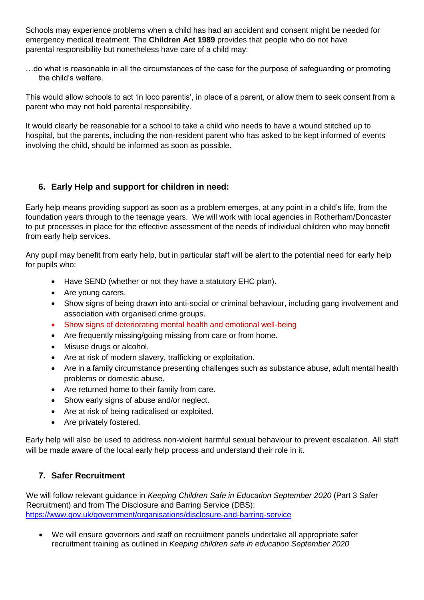Schools may experience problems when a child has had an accident and consent might be needed for emergency medical treatment. The **Children Act 1989** provides that people who do not have parental responsibility but nonetheless have care of a child may:

…do what is reasonable in all the circumstances of the case for the purpose of safeguarding or promoting the child's welfare.

This would allow schools to act 'in loco parentis', in place of a parent, or allow them to seek consent from a parent who may not hold parental responsibility.

It would clearly be reasonable for a school to take a child who needs to have a wound stitched up to hospital, but the parents, including the non-resident parent who has asked to be kept informed of events involving the child, should be informed as soon as possible.

# **6. Early Help and support for children in need:**

Early help means providing support as soon as a problem emerges, at any point in a child's life, from the foundation years through to the teenage years. We will work with local agencies in Rotherham/Doncaster to put processes in place for the effective assessment of the needs of individual children who may benefit from early help services.

Any pupil may benefit from early help, but in particular staff will be alert to the potential need for early help for pupils who:

- Have SEND (whether or not they have a statutory EHC plan).
- Are young carers.
- Show signs of being drawn into anti-social or criminal behaviour, including gang involvement and association with organised crime groups.
- Show signs of deteriorating mental health and emotional well-being
- Are frequently missing/going missing from care or from home.
- Misuse drugs or alcohol.
- Are at risk of modern slavery, trafficking or exploitation.
- Are in a family circumstance presenting challenges such as substance abuse, adult mental health problems or domestic abuse.
- Are returned home to their family from care.
- Show early signs of abuse and/or neglect.
- Are at risk of being radicalised or exploited.
- Are privately fostered.

Early help will also be used to address non-violent harmful sexual behaviour to prevent escalation. All staff will be made aware of the local early help process and understand their role in it.

# **7. Safer Recruitment**

We will follow relevant guidance in *Keeping Children Safe in Education September 2020* (Part 3 Safer Recruitment) and from The Disclosure and Barring Service (DBS): <https://www.gov.uk/government/organisations/disclosure-and-barring-service>

 We will ensure governors and staff on recruitment panels undertake all appropriate safer recruitment training as outlined in *Keeping children safe in education September 2020*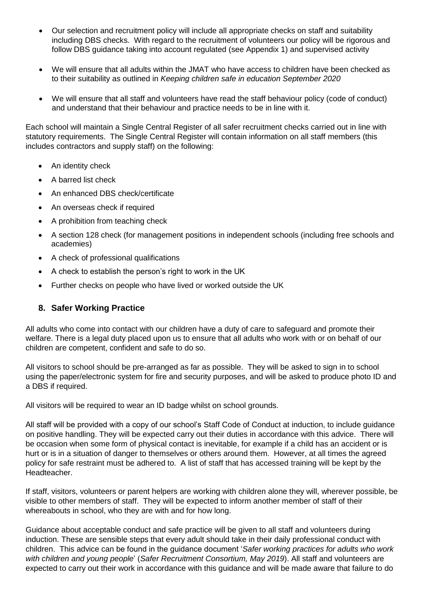- Our selection and recruitment policy will include all appropriate checks on staff and suitability including DBS checks. With regard to the recruitment of volunteers our policy will be rigorous and follow DBS guidance taking into account regulated (see Appendix 1) and supervised activity
- We will ensure that all adults within the JMAT who have access to children have been checked as to their suitability as outlined in *Keeping children safe in education September 2020*
- We will ensure that all staff and volunteers have read the staff behaviour policy (code of conduct) and understand that their behaviour and practice needs to be in line with it.

Each school will maintain a Single Central Register of all safer recruitment checks carried out in line with statutory requirements. The Single Central Register will contain information on all staff members (this includes contractors and supply staff) on the following:

- An identity check
- A barred list check
- An enhanced DBS check/certificate
- An overseas check if required
- A prohibition from teaching check
- A section 128 check (for management positions in independent schools (including free schools and academies)
- A check of professional qualifications
- A check to establish the person's right to work in the UK
- Further checks on people who have lived or worked outside the UK

# **8. Safer Working Practice**

All adults who come into contact with our children have a duty of care to safeguard and promote their welfare. There is a legal duty placed upon us to ensure that all adults who work with or on behalf of our children are competent, confident and safe to do so.

All visitors to school should be pre-arranged as far as possible. They will be asked to sign in to school using the paper/electronic system for fire and security purposes, and will be asked to produce photo ID and a DBS if required.

All visitors will be required to wear an ID badge whilst on school grounds.

All staff will be provided with a copy of our school's Staff Code of Conduct at induction, to include guidance on positive handling. They will be expected carry out their duties in accordance with this advice. There will be occasion when some form of physical contact is inevitable, for example if a child has an accident or is hurt or is in a situation of danger to themselves or others around them. However, at all times the agreed policy for safe restraint must be adhered to. A list of staff that has accessed training will be kept by the Headteacher.

If staff, visitors, volunteers or parent helpers are working with children alone they will, wherever possible, be visible to other members of staff. They will be expected to inform another member of staff of their whereabouts in school, who they are with and for how long.

Guidance about acceptable conduct and safe practice will be given to all staff and volunteers during induction. These are sensible steps that every adult should take in their daily professional conduct with children. This advice can be found in the guidance document '*Safer working practices for adults who work with children and young people*' (*Safer Recruitment Consortium, May 2019*). All staff and volunteers are expected to carry out their work in accordance with this guidance and will be made aware that failure to do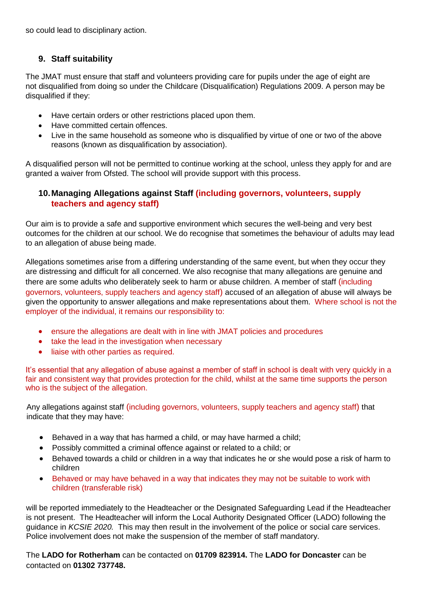so could lead to disciplinary action.

# **9. Staff suitability**

The JMAT must ensure that staff and volunteers providing care for pupils under the age of eight are not disqualified from doing so under the Childcare (Disqualification) Regulations 2009. A person may be disqualified if they:

- Have certain orders or other restrictions placed upon them.
- Have committed certain offences.
- Live in the same household as someone who is disqualified by virtue of one or two of the above reasons (known as disqualification by association).

A disqualified person will not be permitted to continue working at the school, unless they apply for and are granted a waiver from Ofsted. The school will provide support with this process.

# **10.Managing Allegations against Staff (including governors, volunteers, supply teachers and agency staff)**

Our aim is to provide a safe and supportive environment which secures the well-being and very best outcomes for the children at our school. We do recognise that sometimes the behaviour of adults may lead to an allegation of abuse being made.

Allegations sometimes arise from a differing understanding of the same event, but when they occur they are distressing and difficult for all concerned. We also recognise that many allegations are genuine and there are some adults who deliberately seek to harm or abuse children. A member of staff (including governors, volunteers, supply teachers and agency staff) accused of an allegation of abuse will always be given the opportunity to answer allegations and make representations about them. Where school is not the employer of the individual, it remains our responsibility to:

- ensure the allegations are dealt with in line with JMAT policies and procedures
- take the lead in the investigation when necessary
- liaise with other parties as required.

It's essential that any allegation of abuse against a member of staff in school is dealt with very quickly in a fair and consistent way that provides protection for the child, whilst at the same time supports the person who is the subject of the allegation.

Any allegations against staff (including governors, volunteers, supply teachers and agency staff) that indicate that they may have:

- Behaved in a way that has harmed a child, or may have harmed a child;
- Possibly committed a criminal offence against or related to a child; or
- Behaved towards a child or children in a way that indicates he or she would pose a risk of harm to children
- Behaved or may have behaved in a way that indicates they may not be suitable to work with children (transferable risk)

will be reported immediately to the Headteacher or the Designated Safeguarding Lead if the Headteacher is not present. The Headteacher will inform the Local Authority Designated Officer (LADO) following the guidance in *KCSIE 2020.* This may then result in the involvement of the police or social care services. Police involvement does not make the suspension of the member of staff mandatory.

The **LADO for Rotherham** can be contacted on **01709 823914.** The **LADO for Doncaster** can be contacted on **01302 737748.**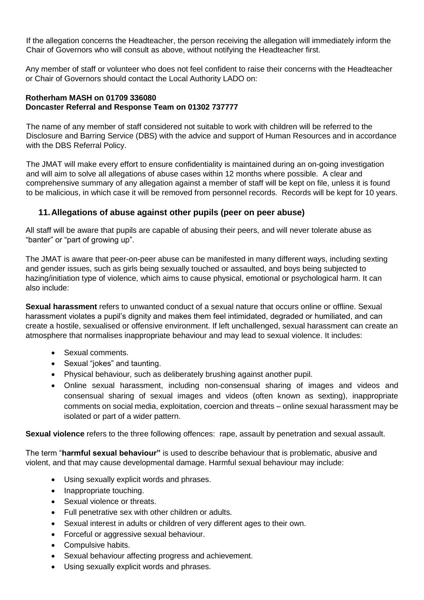If the allegation concerns the Headteacher, the person receiving the allegation will immediately inform the Chair of Governors who will consult as above, without notifying the Headteacher first.

Any member of staff or volunteer who does not feel confident to raise their concerns with the Headteacher or Chair of Governors should contact the Local Authority LADO on:

#### **Rotherham MASH on 01709 336080 Doncaster Referral and Response Team on 01302 737777**

The name of any member of staff considered not suitable to work with children will be referred to the Disclosure and Barring Service (DBS) with the advice and support of Human Resources and in accordance with the DBS Referral Policy.

The JMAT will make every effort to ensure confidentiality is maintained during an on-going investigation and will aim to solve all allegations of abuse cases within 12 months where possible. A clear and comprehensive summary of any allegation against a member of staff will be kept on file, unless it is found to be malicious, in which case it will be removed from personnel records. Records will be kept for 10 years.

# **11.Allegations of abuse against other pupils (peer on peer abuse)**

All staff will be aware that pupils are capable of abusing their peers, and will never tolerate abuse as "banter" or "part of growing up".

The JMAT is aware that peer-on-peer abuse can be manifested in many different ways, including sexting and gender issues, such as girls being sexually touched or assaulted, and boys being subjected to hazing/initiation type of violence, which aims to cause physical, emotional or psychological harm. It can also include:

**Sexual harassment** refers to unwanted conduct of a sexual nature that occurs online or offline. Sexual harassment violates a pupil's dignity and makes them feel intimidated, degraded or humiliated, and can create a hostile, sexualised or offensive environment. If left unchallenged, sexual harassment can create an atmosphere that normalises inappropriate behaviour and may lead to sexual violence. It includes:

- Sexual comments.
- Sexual "jokes" and taunting.
- Physical behaviour, such as deliberately brushing against another pupil.
- Online sexual harassment, including non-consensual sharing of images and videos and consensual sharing of sexual images and videos (often known as sexting), inappropriate comments on social media, exploitation, coercion and threats – online sexual harassment may be isolated or part of a wider pattern.

**Sexual violence** refers to the three following offences: rape, assault by penetration and sexual assault.

The term "**harmful sexual behaviour"** is used to describe behaviour that is problematic, abusive and violent, and that may cause developmental damage. Harmful sexual behaviour may include:

- Using sexually explicit words and phrases.
- Inappropriate touching.
- Sexual violence or threats.
- Full penetrative sex with other children or adults.
- Sexual interest in adults or children of very different ages to their own.
- Forceful or aggressive sexual behaviour.
- Compulsive habits.
- Sexual behaviour affecting progress and achievement.
- Using sexually explicit words and phrases.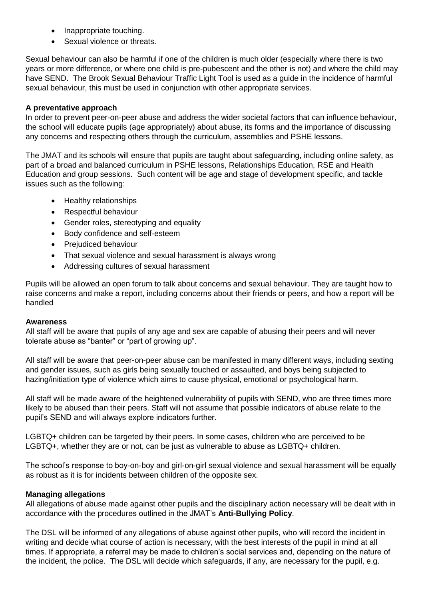- Inappropriate touching.
- Sexual violence or threats.

Sexual behaviour can also be harmful if one of the children is much older (especially where there is two years or more difference, or where one child is pre-pubescent and the other is not) and where the child may have SEND. The Brook Sexual Behaviour Traffic Light Tool is used as a guide in the incidence of harmful sexual behaviour, this must be used in conjunction with other appropriate services.

#### **A preventative approach**

In order to prevent peer-on-peer abuse and address the wider societal factors that can influence behaviour, the school will educate pupils (age appropriately) about abuse, its forms and the importance of discussing any concerns and respecting others through the curriculum, assemblies and PSHE lessons.

The JMAT and its schools will ensure that pupils are taught about safeguarding, including online safety, as part of a broad and balanced curriculum in PSHE lessons, Relationships Education, RSE and Health Education and group sessions. Such content will be age and stage of development specific, and tackle issues such as the following:

- Healthy relationships
- Respectful behaviour
- Gender roles, stereotyping and equality
- Body confidence and self-esteem
- Preiudiced behaviour
- That sexual violence and sexual harassment is always wrong
- Addressing cultures of sexual harassment

Pupils will be allowed an open forum to talk about concerns and sexual behaviour. They are taught how to raise concerns and make a report, including concerns about their friends or peers, and how a report will be handled

#### **Awareness**

All staff will be aware that pupils of any age and sex are capable of abusing their peers and will never tolerate abuse as "banter" or "part of growing up".

All staff will be aware that peer-on-peer abuse can be manifested in many different ways, including sexting and gender issues, such as girls being sexually touched or assaulted, and boys being subjected to hazing/initiation type of violence which aims to cause physical, emotional or psychological harm.

All staff will be made aware of the heightened vulnerability of pupils with SEND, who are three times more likely to be abused than their peers. Staff will not assume that possible indicators of abuse relate to the pupil's SEND and will always explore indicators further.

LGBTQ+ children can be targeted by their peers. In some cases, children who are perceived to be LGBTQ+, whether they are or not, can be just as vulnerable to abuse as LGBTQ+ children.

The school's response to boy-on-boy and girl-on-girl sexual violence and sexual harassment will be equally as robust as it is for incidents between children of the opposite sex.

# **Managing allegations**

All allegations of abuse made against other pupils and the disciplinary action necessary will be dealt with in accordance with the procedures outlined in the JMAT's **Anti-Bullying Policy**.

The DSL will be informed of any allegations of abuse against other pupils, who will record the incident in writing and decide what course of action is necessary, with the best interests of the pupil in mind at all times. If appropriate, a referral may be made to children's social services and, depending on the nature of the incident, the police. The DSL will decide which safeguards, if any, are necessary for the pupil, e.g.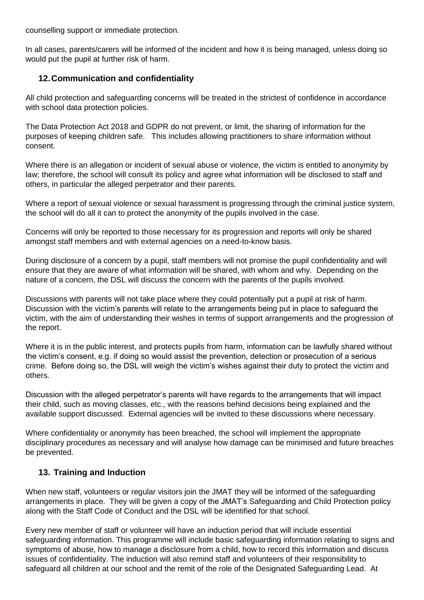counselling support or immediate protection.

In all cases, parents/carers will be informed of the incident and how it is being managed, unless doing so would put the pupil at further risk of harm.

# **12.Communication and confidentiality**

All child protection and safeguarding concerns will be treated in the strictest of confidence in accordance with school data protection policies.

The Data Protection Act 2018 and GDPR do not prevent, or limit, the sharing of information for the purposes of keeping children safe. This includes allowing practitioners to share information without consent.

Where there is an allegation or incident of sexual abuse or violence, the victim is entitled to anonymity by law; therefore, the school will consult its policy and agree what information will be disclosed to staff and others, in particular the alleged perpetrator and their parents.

Where a report of sexual violence or sexual harassment is progressing through the criminal justice system, the school will do all it can to protect the anonymity of the pupils involved in the case.

Concerns will only be reported to those necessary for its progression and reports will only be shared amongst staff members and with external agencies on a need-to-know basis.

During disclosure of a concern by a pupil, staff members will not promise the pupil confidentiality and will ensure that they are aware of what information will be shared, with whom and why. Depending on the nature of a concern, the DSL will discuss the concern with the parents of the pupils involved.

Discussions with parents will not take place where they could potentially put a pupil at risk of harm. Discussion with the victim's parents will relate to the arrangements being put in place to safeguard the victim, with the aim of understanding their wishes in terms of support arrangements and the progression of the report.

Where it is in the public interest, and protects pupils from harm, information can be lawfully shared without the victim's consent, e.g. if doing so would assist the prevention, detection or prosecution of a serious crime. Before doing so, the DSL will weigh the victim's wishes against their duty to protect the victim and others.

Discussion with the alleged perpetrator's parents will have regards to the arrangements that will impact their child, such as moving classes, etc., with the reasons behind decisions being explained and the available support discussed. External agencies will be invited to these discussions where necessary.

Where confidentiality or anonymity has been breached, the school will implement the appropriate disciplinary procedures as necessary and will analyse how damage can be minimised and future breaches be prevented.

# **13. Training and Induction**

When new staff, volunteers or regular visitors join the JMAT they will be informed of the safeguarding arrangements in place. They will be given a copy of the JMAT's Safeguarding and Child Protection policy along with the Staff Code of Conduct and the DSL will be identified for that school.

Every new member of staff or volunteer will have an induction period that will include essential safeguarding information. This programme will include basic safeguarding information relating to signs and symptoms of abuse, how to manage a disclosure from a child, how to record this information and discuss issues of confidentiality. The induction will also remind staff and volunteers of their responsibility to safeguard all children at our school and the remit of the role of the Designated Safeguarding Lead. At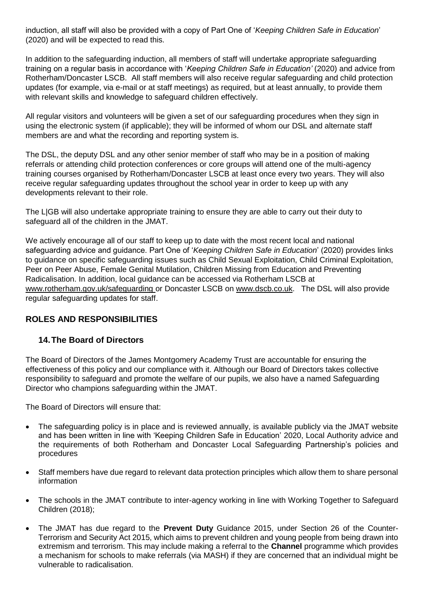induction, all staff will also be provided with a copy of Part One of '*Keeping Children Safe in Education*' (2020) and will be expected to read this.

In addition to the safeguarding induction, all members of staff will undertake appropriate safeguarding training on a regular basis in accordance with '*Keeping Children Safe in Education'* (2020) and advice from Rotherham/Doncaster LSCB. All staff members will also receive regular safeguarding and child protection updates (for example, via e-mail or at staff meetings) as required, but at least annually, to provide them with relevant skills and knowledge to safeguard children effectively.

All regular visitors and volunteers will be given a set of our safeguarding procedures when they sign in using the electronic system (if applicable); they will be informed of whom our DSL and alternate staff members are and what the recording and reporting system is.

The DSL, the deputy DSL and any other senior member of staff who may be in a position of making referrals or attending child protection conferences or core groups will attend one of the multi-agency training courses organised by Rotherham/Doncaster LSCB at least once every two years. They will also receive regular safeguarding updates throughout the school year in order to keep up with any developments relevant to their role.

The L|GB will also undertake appropriate training to ensure they are able to carry out their duty to safeguard all of the children in the JMAT.

We actively encourage all of our staff to keep up to date with the most recent local and national safeguarding advice and guidance. Part One of '*Keeping Children Safe in Education*' (2020) provides links to guidance on specific safeguarding issues such as Child Sexual Exploitation, Child Criminal Exploitation, Peer on Peer Abuse, Female Genital Mutilation, Children Missing from Education and Preventing Radicalisation. In addition, local guidance can be accessed via Rotherham LSCB at [www.rotherham.gov.uk/safeguarding](http://www.rotherham.gov.uk/safeguarding) or Doncaster LSCB on [www.dscb.co.uk.](http://www.dscb.co.uk/) The DSL will also provide regular safeguarding updates for staff.

# **ROLES AND RESPONSIBILITIES**

# **14.The Board of Directors**

The Board of Directors of the James Montgomery Academy Trust are accountable for ensuring the effectiveness of this policy and our compliance with it. Although our Board of Directors takes collective responsibility to safeguard and promote the welfare of our pupils, we also have a named Safeguarding Director who champions safeguarding within the JMAT.

The Board of Directors will ensure that:

- The safeguarding policy is in place and is reviewed annually, is available publicly via the JMAT website and has been written in line with 'Keeping Children Safe in Education' 2020, Local Authority advice and the requirements of both Rotherham and Doncaster Local Safeguarding Partnership's policies and procedures
- Staff members have due regard to relevant data protection principles which allow them to share personal information
- The schools in the JMAT contribute to inter-agency working in line with Working Together to Safeguard Children (2018);
- The JMAT has due regard to the **Prevent Duty** Guidance 2015, under Section 26 of the Counter-Terrorism and Security Act 2015, which aims to prevent children and young people from being drawn into extremism and terrorism. This may include making a referral to the **Channel** programme which provides a mechanism for schools to make referrals (via MASH) if they are concerned that an individual might be vulnerable to radicalisation.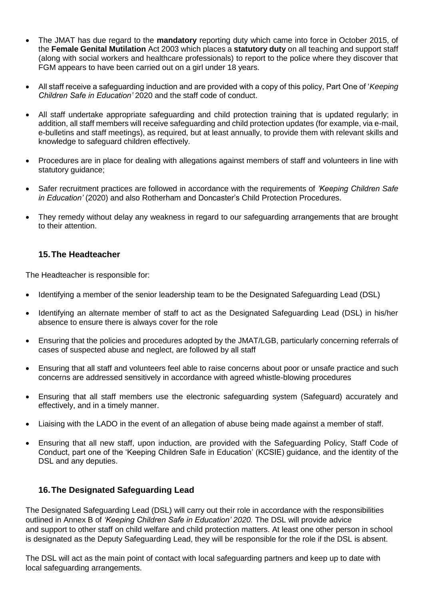- The JMAT has due regard to the **mandatory** reporting duty which came into force in October 2015, of the **Female Genital Mutilation** Act 2003 which places a **statutory duty** on all teaching and support staff (along with social workers and healthcare professionals) to report to the police where they discover that FGM appears to have been carried out on a girl under 18 years.
- All staff receive a safeguarding induction and are provided with a copy of this policy, Part One of '*Keeping Children Safe in Education'* 2020 and the staff code of conduct.
- All staff undertake appropriate safeguarding and child protection training that is updated regularly; in addition, all staff members will receive safeguarding and child protection updates (for example, via e-mail, e-bulletins and staff meetings), as required, but at least annually, to provide them with relevant skills and knowledge to safeguard children effectively.
- Procedures are in place for dealing with allegations against members of staff and volunteers in line with statutory guidance;
- Safer recruitment practices are followed in accordance with the requirements of *'Keeping Children Safe in Education'* (2020) and also Rotherham and Doncaster's Child Protection Procedures.
- They remedy without delay any weakness in regard to our safeguarding arrangements that are brought to their attention.

# **15.The Headteacher**

The Headteacher is responsible for:

- Identifying a member of the senior leadership team to be the Designated Safeguarding Lead (DSL)
- Identifying an alternate member of staff to act as the Designated Safeguarding Lead (DSL) in his/her absence to ensure there is always cover for the role
- Ensuring that the policies and procedures adopted by the JMAT/LGB, particularly concerning referrals of cases of suspected abuse and neglect, are followed by all staff
- Ensuring that all staff and volunteers feel able to raise concerns about poor or unsafe practice and such concerns are addressed sensitively in accordance with agreed whistle-blowing procedures
- Ensuring that all staff members use the electronic safeguarding system (Safeguard) accurately and effectively, and in a timely manner.
- Liaising with the LADO in the event of an allegation of abuse being made against a member of staff.
- Ensuring that all new staff, upon induction, are provided with the Safeguarding Policy, Staff Code of Conduct, part one of the 'Keeping Children Safe in Education' (KCSIE) guidance, and the identity of the DSL and any deputies.

# **16.The Designated Safeguarding Lead**

The Designated Safeguarding Lead (DSL) will carry out their role in accordance with the responsibilities outlined in Annex B of *'Keeping Children Safe in Education' 2020.* The DSL will provide advice and support to other staff on child welfare and child protection matters. At least one other person in school is designated as the Deputy Safeguarding Lead, they will be responsible for the role if the DSL is absent.

The DSL will act as the main point of contact with local safeguarding partners and keep up to date with local safeguarding arrangements.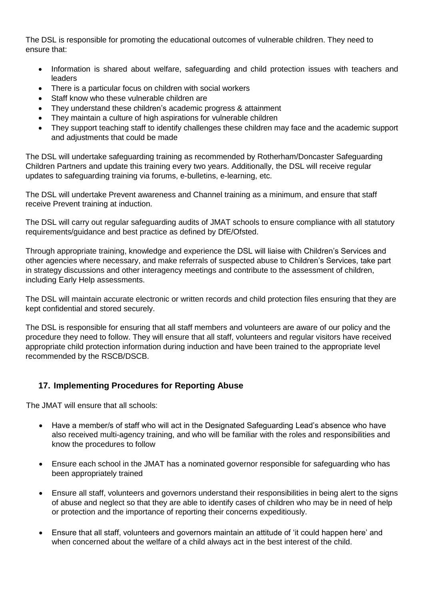The DSL is responsible for promoting the educational outcomes of vulnerable children. They need to ensure that:

- Information is shared about welfare, safeguarding and child protection issues with teachers and leaders
- There is a particular focus on children with social workers
- Staff know who these vulnerable children are
- They understand these children's academic progress & attainment
- They maintain a culture of high aspirations for vulnerable children
- They support teaching staff to identify challenges these children may face and the academic support and adjustments that could be made

The DSL will undertake safeguarding training as recommended by Rotherham/Doncaster Safeguarding Children Partners and update this training every two years. Additionally, the DSL will receive regular updates to safeguarding training via forums, e-bulletins, e-learning, etc.

The DSL will undertake Prevent awareness and Channel training as a minimum, and ensure that staff receive Prevent training at induction.

The DSL will carry out regular safeguarding audits of JMAT schools to ensure compliance with all statutory requirements/guidance and best practice as defined by DfE/Ofsted.

Through appropriate training, knowledge and experience the DSL will liaise with Children's Services and other agencies where necessary, and make referrals of suspected abuse to Children's Services, take part in strategy discussions and other interagency meetings and contribute to the assessment of children, including Early Help assessments.

The DSL will maintain accurate electronic or written records and child protection files ensuring that they are kept confidential and stored securely.

The DSL is responsible for ensuring that all staff members and volunteers are aware of our policy and the procedure they need to follow. They will ensure that all staff, volunteers and regular visitors have received appropriate child protection information during induction and have been trained to the appropriate level recommended by the RSCB/DSCB.

# **17. Implementing Procedures for Reporting Abuse**

The JMAT will ensure that all schools:

- Have a member/s of staff who will act in the Designated Safeguarding Lead's absence who have also received multi-agency training, and who will be familiar with the roles and responsibilities and know the procedures to follow
- Ensure each school in the JMAT has a nominated governor responsible for safeguarding who has been appropriately trained
- Ensure all staff, volunteers and governors understand their responsibilities in being alert to the signs of abuse and neglect so that they are able to identify cases of children who may be in need of help or protection and the importance of reporting their concerns expeditiously.
- Ensure that all staff, volunteers and governors maintain an attitude of 'it could happen here' and when concerned about the welfare of a child always act in the best interest of the child.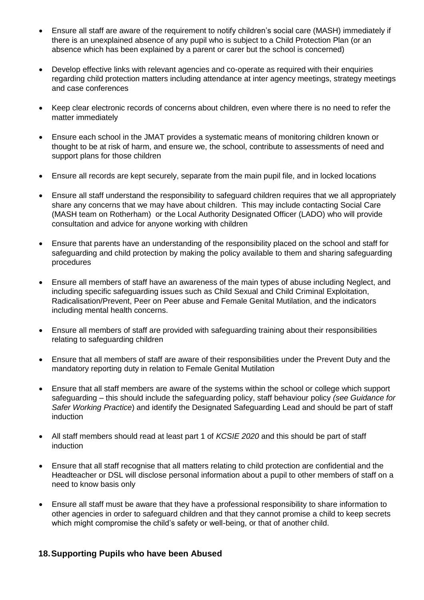- Ensure all staff are aware of the requirement to notify children's social care (MASH) immediately if there is an unexplained absence of any pupil who is subject to a Child Protection Plan (or an absence which has been explained by a parent or carer but the school is concerned)
- Develop effective links with relevant agencies and co-operate as required with their enquiries regarding child protection matters including attendance at inter agency meetings, strategy meetings and case conferences
- Keep clear electronic records of concerns about children, even where there is no need to refer the matter immediately
- Ensure each school in the JMAT provides a systematic means of monitoring children known or thought to be at risk of harm, and ensure we, the school, contribute to assessments of need and support plans for those children
- Ensure all records are kept securely, separate from the main pupil file, and in locked locations
- Ensure all staff understand the responsibility to safeguard children requires that we all appropriately share any concerns that we may have about children. This may include contacting Social Care (MASH team on Rotherham) or the Local Authority Designated Officer (LADO) who will provide consultation and advice for anyone working with children
- Ensure that parents have an understanding of the responsibility placed on the school and staff for safeguarding and child protection by making the policy available to them and sharing safeguarding procedures
- Ensure all members of staff have an awareness of the main types of abuse including Neglect, and including specific safeguarding issues such as Child Sexual and Child Criminal Exploitation, Radicalisation/Prevent, Peer on Peer abuse and Female Genital Mutilation, and the indicators including mental health concerns.
- Ensure all members of staff are provided with safeguarding training about their responsibilities relating to safeguarding children
- Ensure that all members of staff are aware of their responsibilities under the Prevent Duty and the mandatory reporting duty in relation to Female Genital Mutilation
- Ensure that all staff members are aware of the systems within the school or college which support safeguarding – this should include the safeguarding policy, staff behaviour policy *(see Guidance for Safer Working Practice*) and identify the Designated Safeguarding Lead and should be part of staff induction
- All staff members should read at least part 1 of *KCSIE 2020* and this should be part of staff induction
- Ensure that all staff recognise that all matters relating to child protection are confidential and the Headteacher or DSL will disclose personal information about a pupil to other members of staff on a need to know basis only
- Ensure all staff must be aware that they have a professional responsibility to share information to other agencies in order to safeguard children and that they cannot promise a child to keep secrets which might compromise the child's safety or well-being, or that of another child.

# **18.Supporting Pupils who have been Abused**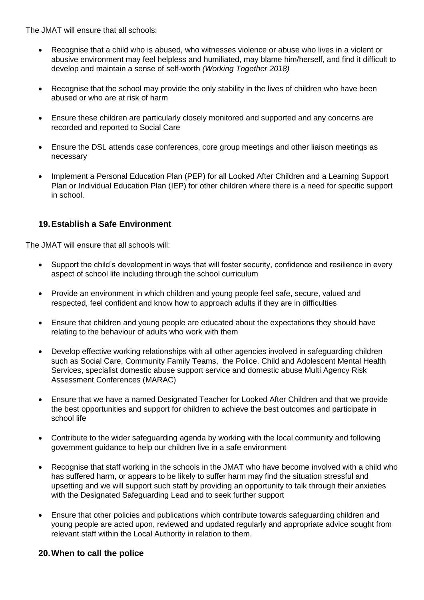The JMAT will ensure that all schools:

- Recognise that a child who is abused, who witnesses violence or abuse who lives in a violent or abusive environment may feel helpless and humiliated, may blame him/herself, and find it difficult to develop and maintain a sense of self-worth *(Working Together 2018)*
- Recognise that the school may provide the only stability in the lives of children who have been abused or who are at risk of harm
- Ensure these children are particularly closely monitored and supported and any concerns are recorded and reported to Social Care
- Ensure the DSL attends case conferences, core group meetings and other liaison meetings as necessary
- Implement a Personal Education Plan (PEP) for all Looked After Children and a Learning Support Plan or Individual Education Plan (IEP) for other children where there is a need for specific support in school.

# **19.Establish a Safe Environment**

The JMAT will ensure that all schools will:

- Support the child's development in ways that will foster security, confidence and resilience in every aspect of school life including through the school curriculum
- Provide an environment in which children and young people feel safe, secure, valued and respected, feel confident and know how to approach adults if they are in difficulties
- Ensure that children and young people are educated about the expectations they should have relating to the behaviour of adults who work with them
- Develop effective working relationships with all other agencies involved in safeguarding children such as Social Care, Community Family Teams, the Police, Child and Adolescent Mental Health Services, specialist domestic abuse support service and domestic abuse Multi Agency Risk Assessment Conferences (MARAC)
- Ensure that we have a named Designated Teacher for Looked After Children and that we provide the best opportunities and support for children to achieve the best outcomes and participate in school life
- Contribute to the wider safeguarding agenda by working with the local community and following government guidance to help our children live in a safe environment
- Recognise that staff working in the schools in the JMAT who have become involved with a child who has suffered harm, or appears to be likely to suffer harm may find the situation stressful and upsetting and we will support such staff by providing an opportunity to talk through their anxieties with the Designated Safeguarding Lead and to seek further support
- Ensure that other policies and publications which contribute towards safeguarding children and young people are acted upon, reviewed and updated regularly and appropriate advice sought from relevant staff within the Local Authority in relation to them.

# **20.When to call the police**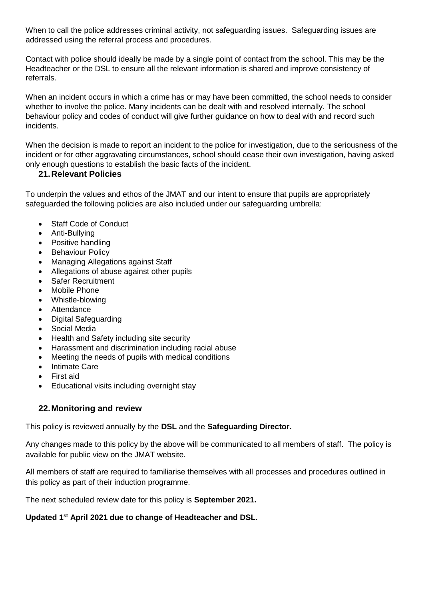When to call the police addresses criminal activity, not safeguarding issues. Safeguarding issues are addressed using the referral process and procedures.

Contact with police should ideally be made by a single point of contact from the school. This may be the Headteacher or the DSL to ensure all the relevant information is shared and improve consistency of referrals.

When an incident occurs in which a crime has or may have been committed, the school needs to consider whether to involve the police. Many incidents can be dealt with and resolved internally. The school behaviour policy and codes of conduct will give further guidance on how to deal with and record such incidents.

When the decision is made to report an incident to the police for investigation, due to the seriousness of the incident or for other aggravating circumstances, school should cease their own investigation, having asked only enough questions to establish the basic facts of the incident.

# **21.Relevant Policies**

To underpin the values and ethos of the JMAT and our intent to ensure that pupils are appropriately safeguarded the following policies are also included under our safeguarding umbrella:

- Staff Code of Conduct
- Anti-Bullying
- Positive handling
- Behaviour Policy
- Managing Allegations against Staff
- Allegations of abuse against other pupils
- Safer Recruitment
- Mobile Phone
- Whistle-blowing
- Attendance
- Digital Safeguarding
- Social Media
- Health and Safety including site security
- Harassment and discrimination including racial abuse
- Meeting the needs of pupils with medical conditions
- Intimate Care
- First aid
- Educational visits including overnight stay

# **22.Monitoring and review**

This policy is reviewed annually by the **DSL** and the **Safeguarding Director.**

Any changes made to this policy by the above will be communicated to all members of staff. The policy is available for public view on the JMAT website.

All members of staff are required to familiarise themselves with all processes and procedures outlined in this policy as part of their induction programme.

The next scheduled review date for this policy is **September 2021.**

# **Updated 1st April 2021 due to change of Headteacher and DSL.**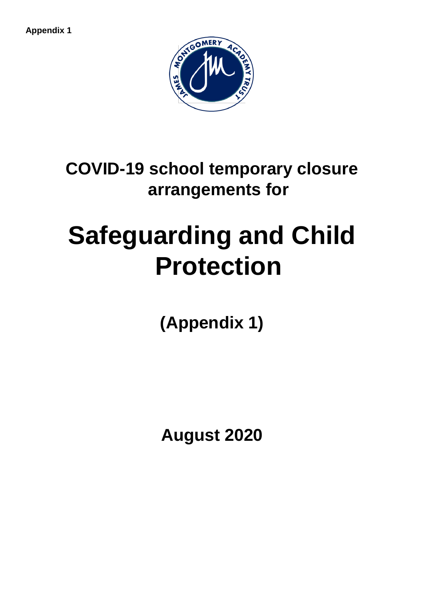**Appendix 1**



**COVID-19 school temporary closure arrangements for** 

# **Safeguarding and Child Protection**

**(Appendix 1)**

**August 2020**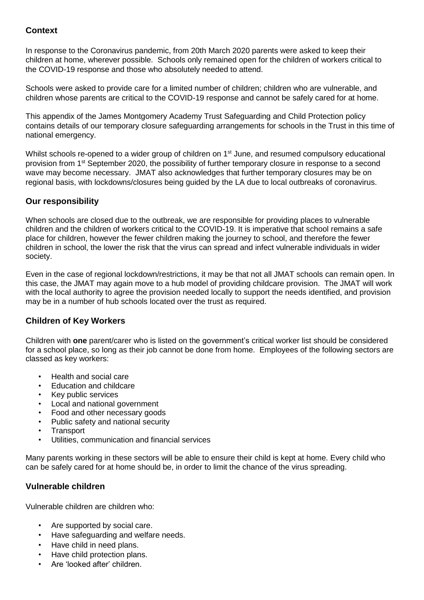# **Context**

In response to the Coronavirus pandemic, from 20th March 2020 parents were asked to keep their children at home, wherever possible. Schools only remained open for the children of workers critical to the COVID-19 response and those who absolutely needed to attend.

Schools were asked to provide care for a limited number of children; children who are vulnerable, and children whose parents are critical to the COVID-19 response and cannot be safely cared for at home.

This appendix of the James Montgomery Academy Trust Safeguarding and Child Protection policy contains details of our temporary closure safeguarding arrangements for schools in the Trust in this time of national emergency.

Whilst schools re-opened to a wider group of children on 1<sup>st</sup> June, and resumed compulsory educational provision from 1<sup>st</sup> September 2020, the possibility of further temporary closure in response to a second wave may become necessary. JMAT also acknowledges that further temporary closures may be on regional basis, with lockdowns/closures being guided by the LA due to local outbreaks of coronavirus.

# **Our responsibility**

When schools are closed due to the outbreak, we are responsible for providing places to vulnerable children and the children of workers critical to the COVID-19. It is imperative that school remains a safe place for children, however the fewer children making the journey to school, and therefore the fewer children in school, the lower the risk that the virus can spread and infect vulnerable individuals in wider society.

Even in the case of regional lockdown/restrictions, it may be that not all JMAT schools can remain open. In this case, the JMAT may again move to a hub model of providing childcare provision. The JMAT will work with the local authority to agree the provision needed locally to support the needs identified, and provision may be in a number of hub schools located over the trust as required.

# **Children of Key Workers**

Children with **one** parent/carer who is listed on the [government's](https://www.gov.uk/government/publications/coronavirus-covid-19-maintaining-educational-provision/guidance-for-schools-colleges-and-local-authorities-on-maintaining-educational-provision) critical worker list should be considered for a school place, so long as their job cannot be done from home. Employees of the following sectors are classed as key workers:

- Health and social care
- Education and childcare
- Key public services
- Local and national government
- Food and other necessary goods
- Public safety and national security
- **Transport**
- Utilities, communication and financial services

Many parents working in these sectors will be able to ensure their child is kept at home. Every child who can be safely cared for at home should be, in order to limit the chance of the virus spreading.

# **Vulnerable children**

Vulnerable children are children who:

- Are supported by social care.
- Have safeguarding and welfare needs.
- Have child in need plans.
- Have child protection plans.
- Are 'looked after' children.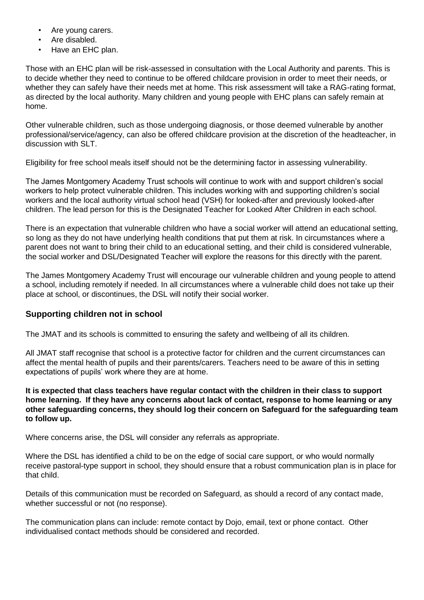- Are young carers.
- Are disabled.
- Have an EHC plan.

Those with an EHC plan will be risk-assessed in consultation with the Local Authority and parents. This is to decide whether they need to continue to be offered childcare provision in order to meet their needs, or whether they can safely have their needs met at home. This risk assessment will take a RAG-rating format, as directed by the local authority. Many children and young people with EHC plans can safely remain at home.

Other vulnerable children, such as those undergoing diagnosis, or those deemed vulnerable by another professional/service/agency, can also be offered childcare provision at the discretion of the headteacher, in discussion with SLT.

Eligibility for free school meals itself should not be the determining factor in assessing vulnerability.

The James Montgomery Academy Trust schools will continue to work with and support children's social workers to help protect vulnerable children. This includes working with and supporting children's social workers and the local authority virtual school head (VSH) for looked-after and previously looked-after children. The lead person for this is the Designated Teacher for Looked After Children in each school.

There is an expectation that vulnerable children who have a social worker will attend an educational setting, so long as they do not have underlying health conditions that put them at risk. In circumstances where a parent does not want to bring their child to an educational setting, and their child is considered vulnerable, the social worker and DSL/Designated Teacher will explore the reasons for this directly with the parent.

The James Montgomery Academy Trust will encourage our vulnerable children and young people to attend a school, including remotely if needed. In all circumstances where a vulnerable child does not take up their place at school, or discontinues, the DSL will notify their social worker.

# **Supporting children not in school**

The JMAT and its schools is committed to ensuring the safety and wellbeing of all its children.

All JMAT staff recognise that school is a protective factor for children and the current circumstances can affect the mental health of pupils and their parents/carers. Teachers need to be aware of this in setting expectations of pupils' work where they are at home.

**It is expected that class teachers have regular contact with the children in their class to support home learning. If they have any concerns about lack of contact, response to home learning or any other safeguarding concerns, they should log their concern on Safeguard for the safeguarding team to follow up.** 

Where concerns arise, the DSL will consider any referrals as appropriate.

Where the DSL has identified a child to be on the edge of social care support, or who would normally receive pastoral-type support in school, they should ensure that a robust communication plan is in place for that child.

Details of this communication must be recorded on Safeguard, as should a record of any contact made, whether successful or not (no response).

The communication plans can include: remote contact by Dojo, email, text or phone contact. Other individualised contact methods should be considered and recorded.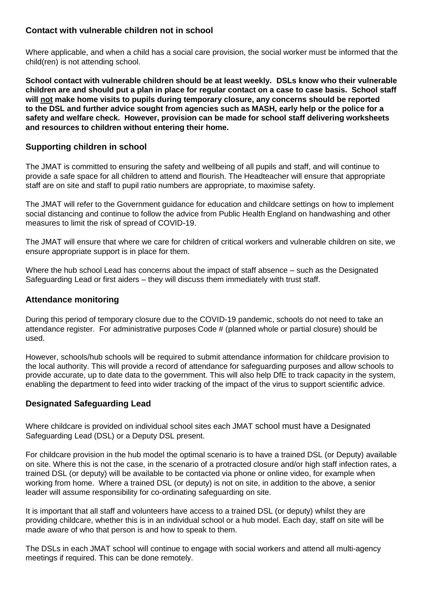# **Contact with vulnerable children not in school**

Where applicable, and when a child has a social care provision, the social worker must be informed that the child(ren) is not attending school.

**School contact with vulnerable children should be at least weekly. DSLs know who their vulnerable children are and should put a plan in place for regular contact on a case to case basis. School staff will not make home visits to pupils during temporary closure, any concerns should be reported to the DSL and further advice sought from agencies such as MASH, early help or the police for a safety and welfare check. However, provision can be made for school staff delivering worksheets and resources to children without entering their home.**

# **Supporting children in school**

The JMAT is committed to ensuring the safety and wellbeing of all pupils and staff, and will continue to provide a safe space for all children to attend and flourish. The Headteacher will ensure that appropriate staff are on site and staff to pupil ratio numbers are appropriate, to maximise safety.

The JMAT will refer to the Government guidance for education and childcare settings on how to implement social distancing and continue to follow the advice from Public Health England on handwashing and other measures to limit the risk of spread of COVID-19.

The JMAT will ensure that where we care for children of critical workers and vulnerable children on site, we ensure appropriate support is in place for them.

Where the hub school Lead has concerns about the impact of staff absence – such as the Designated Safeguarding Lead or first aiders – they will discuss them immediately with trust staff.

# **Attendance monitoring**

During this period of temporary closure due to the COVID-19 pandemic, schools do not need to take an attendance register. For administrative purposes Code # (planned whole or partial closure) should be used.

However, schools/hub schools will be required to submit attendance information for childcare provision to the local authority. This will provide a record of attendance for safeguarding purposes and allow schools to provide accurate, up to date data to the government. This will also help DfE to track capacity in the system, enabling the department to feed into wider tracking of the impact of the virus to support scientific advice.

# **Designated Safeguarding Lead**

Where childcare is provided on individual school sites each JMAT school must have a Designated Safeguarding Lead (DSL) or a Deputy DSL present.

For childcare provision in the hub model the optimal scenario is to have a trained DSL (or Deputy) available on site. Where this is not the case, in the scenario of a protracted closure and/or high staff infection rates, a trained DSL (or deputy) will be available to be contacted via phone or online video, for example when working from home. Where a trained DSL (or deputy) is not on site, in addition to the above, a senior leader will assume responsibility for co-ordinating safeguarding on site.

It is important that all staff and volunteers have access to a trained DSL (or deputy) whilst they are providing childcare, whether this is in an individual school or a hub model. Each day, staff on site will be made aware of who that person is and how to speak to them.

The DSLs in each JMAT school will continue to engage with social workers and attend all multi-agency meetings if required. This can be done remotely.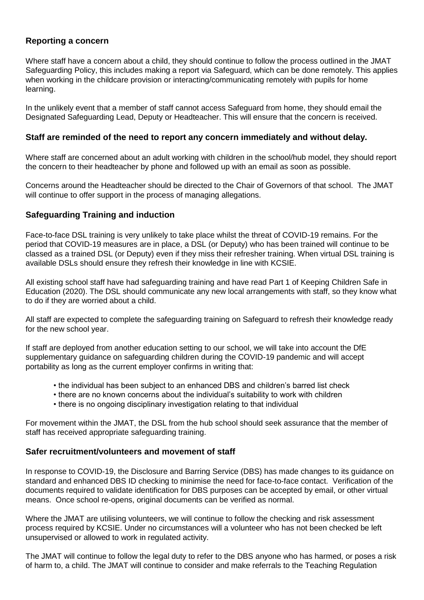# **Reporting a concern**

Where staff have a concern about a child, they should continue to follow the process outlined in the JMAT Safeguarding Policy, this includes making a report via Safeguard, which can be done remotely. This applies when working in the childcare provision or interacting/communicating remotely with pupils for home learning.

In the unlikely event that a member of staff cannot access Safeguard from home, they should email the Designated Safeguarding Lead, Deputy or Headteacher. This will ensure that the concern is received.

# **Staff are reminded of the need to report any concern immediately and without delay.**

Where staff are concerned about an adult working with children in the school/hub model, they should report the concern to their headteacher by phone and followed up with an email as soon as possible.

Concerns around the Headteacher should be directed to the Chair of Governors of that school. The JMAT will continue to offer support in the process of managing allegations.

# **Safeguarding Training and induction**

Face-to-face DSL training is very unlikely to take place whilst the threat of COVID-19 remains. For the period that COVID-19 measures are in place, a DSL (or Deputy) who has been trained will continue to be classed as a trained DSL (or Deputy) even if they miss their refresher training. When virtual DSL training is available DSLs should ensure they refresh their knowledge in line with KCSIE.

All existing school staff have had safeguarding training and have read Part 1 of Keeping Children Safe in Education (2020). The DSL should communicate any new local arrangements with staff, so they know what to do if they are worried about a child.

All staff are expected to complete the safeguarding training on Safeguard to refresh their knowledge ready for the new school year.

If staff are deployed from another education setting to our school, we will take into account the DfE supplementary guidance on safeguarding children during the COVID-19 pandemic and will accept portability as long as the current employer confirms in writing that:

- the individual has been subject to an enhanced DBS and children's barred list check
- there are no known concerns about the individual's suitability to work with children
- there is no ongoing disciplinary investigation relating to that individual

For movement within the JMAT, the DSL from the hub school should seek assurance that the member of staff has received appropriate safeguarding training.

# **Safer recruitment/volunteers and movement of staff**

In response to COVID-19, the Disclosure and Barring Service (DBS) has made changes to its guidance on standard and enhanced DBS ID checking to minimise the need for face-to-face contact. Verification of the documents required to validate identification for DBS purposes can be accepted by email, or other virtual means. Once school re-opens, original documents can be verified as normal.

Where the JMAT are utilising volunteers, we will continue to follow the checking and risk assessment process required by KCSIE. Under no circumstances will a volunteer who has not been checked be left unsupervised or allowed to work in regulated activity.

The JMAT will continue to follow the legal duty to refer to the DBS anyone who has harmed, or poses a risk of harm to, a child. The JMAT will continue to consider and make referrals to the Teaching Regulation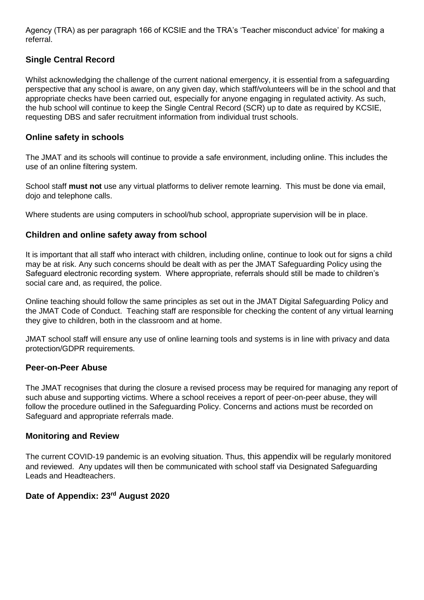Agency (TRA) as per paragraph 166 of KCSIE and the TRA's 'Teacher misconduct advice' for making a referral.

# **Single Central Record**

Whilst acknowledging the challenge of the current national emergency, it is essential from a safeguarding perspective that any school is aware, on any given day, which staff/volunteers will be in the school and that appropriate checks have been carried out, especially for anyone engaging in regulated activity. As such, the hub school will continue to keep the Single Central Record (SCR) up to date as required by KCSIE, requesting DBS and safer recruitment information from individual trust schools.

#### **Online safety in schools**

The JMAT and its schools will continue to provide a safe environment, including online. This includes the use of an online filtering system.

School staff **must not** use any virtual platforms to deliver remote learning. This must be done via email, dojo and telephone calls.

Where students are using computers in school/hub school, appropriate supervision will be in place.

#### **Children and online safety away from school**

It is important that all staff who interact with children, including online, continue to look out for signs a child may be at risk. Any such concerns should be dealt with as per the JMAT Safeguarding Policy using the Safeguard electronic recording system. Where appropriate, referrals should still be made to children's social care and, as required, the police.

Online teaching should follow the same principles as set out in the JMAT Digital Safeguarding Policy and the JMAT Code of Conduct. Teaching staff are responsible for checking the content of any virtual learning they give to children, both in the classroom and at home.

JMAT school staff will ensure any use of online learning tools and systems is in line with privacy and data protection/GDPR requirements.

#### **Peer-on-Peer Abuse**

The JMAT recognises that during the closure a revised process may be required for managing any report of such abuse and supporting victims. Where a school receives a report of peer-on-peer abuse, they will follow the procedure outlined in the Safeguarding Policy. Concerns and actions must be recorded on Safeguard and appropriate referrals made.

#### **Monitoring and Review**

The current COVID-19 pandemic is an evolving situation. Thus, this appendix will be regularly monitored and reviewed. Any updates will then be communicated with school staff via Designated Safeguarding Leads and Headteachers.

# **Date of Appendix: 23rd August 2020**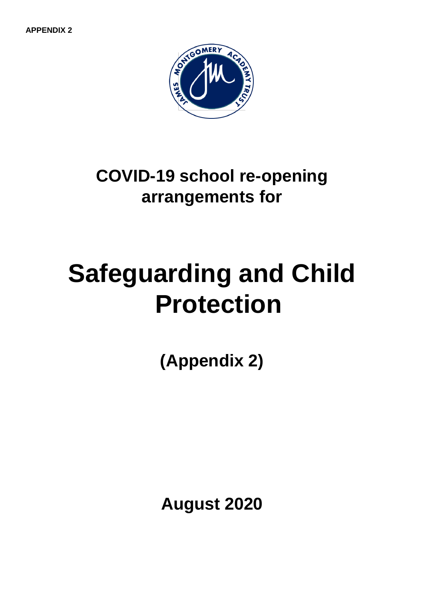**APPENDIX 2**



**COVID-19 school re-opening arrangements for** 

# **Safeguarding and Child Protection**

**(Appendix 2)**

**August 2020**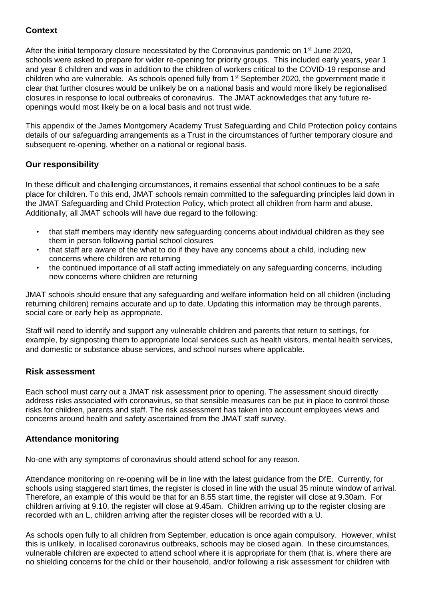# **Context**

After the initial temporary closure necessitated by the Coronavirus pandemic on 1<sup>st</sup> June 2020, schools were asked to prepare for wider re-opening for priority groups. This included early years, year 1 and year 6 children and was in addition to the children of workers critical to the COVID-19 response and children who are vulnerable. As schools opened fully from 1<sup>st</sup> September 2020, the government made it clear that further closures would be unlikely be on a national basis and would more likely be regionalised closures in response to local outbreaks of coronavirus. The JMAT acknowledges that any future reopenings would most likely be on a local basis and not trust wide.

This appendix of the James Montgomery Academy Trust Safeguarding and Child Protection policy contains details of our safeguarding arrangements as a Trust in the circumstances of further temporary closure and subsequent re-opening, whether on a national or regional basis.

# **Our responsibility**

In these difficult and challenging circumstances, it remains essential that school continues to be a safe place for children. To this end, JMAT schools remain committed to the safeguarding principles laid down in the JMAT Safeguarding and Child Protection Policy, which protect all children from harm and abuse. Additionally, all JMAT schools will have due regard to the following:

- that staff members may identify new safeguarding concerns about individual children as they see them in person following partial school closures
- that staff are aware of the what to do if they have any concerns about a child, including new concerns where children are returning
- the continued importance of all staff acting immediately on any safeguarding concerns, including new concerns where children are returning

JMAT schools should ensure that any safeguarding and welfare information held on all children (including returning children) remains accurate and up to date. Updating this information may be through parents, social care or early help as appropriate.

Staff will need to identify and support any vulnerable children and parents that return to settings, for example, by signposting them to appropriate local services such as health visitors, mental health services, and domestic or substance abuse services, and school nurses where applicable.

# **Risk assessment**

Each school must carry out a JMAT risk assessment prior to opening. The assessment should directly address risks associated with coronavirus, so that sensible measures can be put in place to control those risks for children, parents and staff. The risk assessment has taken into account employees views and concerns around health and safety ascertained from the JMAT staff survey.

# **Attendance monitoring**

No-one with any symptoms of coronavirus should attend school for any reason.

Attendance monitoring on re-opening will be in line with the latest guidance from the DfE. Currently, for schools using staggered start times, the register is closed in line with the usual 35 minute window of arrival. Therefore, an example of this would be that for an 8.55 start time, the register will close at 9.30am. For children arriving at 9.10, the register will close at 9.45am. Children arriving up to the register closing are recorded with an L, children arriving after the register closes will be recorded with a U.

As schools open fully to all children from September, education is once again compulsory. However, whilst this is unlikely, in localised coronavirus outbreaks, schools may be closed again. In these circumstances, vulnerable children are expected to attend school where it is appropriate for them (that is, where there are no shielding concerns for the child or their household, and/or following a risk assessment for children with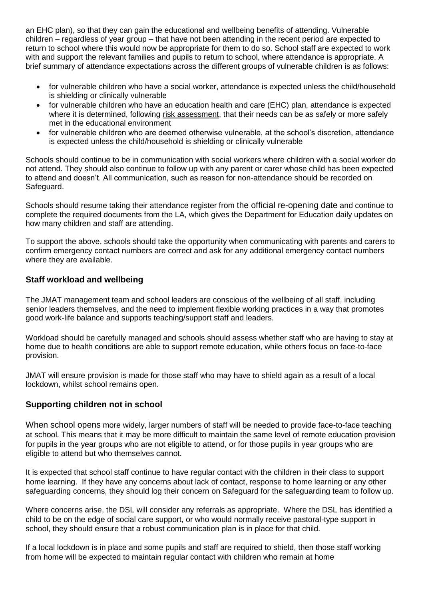an EHC plan), so that they can gain the educational and wellbeing benefits of attending. Vulnerable children – regardless of year group – that have not been attending in the recent period are expected to return to school where this would now be appropriate for them to do so. School staff are expected to work with and support the relevant families and pupils to return to school, where attendance is appropriate. A brief summary of attendance expectations across the different groups of vulnerable children is as follows:

- for vulnerable children who have a social worker, attendance is expected unless the child/household is shielding or clinically vulnerable
- for vulnerable children who have an education health and care (EHC) plan, attendance is expected where it is determined, following risk [assessment,](https://www.gov.uk/government/publications/coronavirus-covid-19-send-risk-assessment-guidance/coronavirus-covid-19-send-risk-assessment-guidance) that their needs can be as safely or more safely met in the educational environment
- for vulnerable children who are deemed otherwise vulnerable, at the school's discretion, attendance is expected unless the child/household is shielding or clinically vulnerable

Schools should continue to be in communication with social workers where children with a social worker do not attend. They should also continue to follow up with any parent or carer whose child has been expected to attend and doesn't. All communication, such as reason for non-attendance should be recorded on Safeguard.

Schools should resume taking their attendance register from the official re-opening date and continue to complete the required documents from the LA, which gives the Department for Education daily updates on how many children and staff are attending.

To support the above, schools should take the opportunity when communicating with parents and carers to confirm emergency contact numbers are correct and ask for any additional emergency contact numbers where they are available.

# **Staff workload and wellbeing**

The JMAT management team and school leaders are conscious of the wellbeing of all staff, including senior leaders themselves, and the need to implement flexible working practices in a way that promotes good work-life balance and supports teaching/support staff and leaders.

Workload should be carefully managed and schools should assess whether staff who are having to stay at home due to health conditions are able to support remote education, while others focus on face-to-face provision.

JMAT will ensure provision is made for those staff who may have to shield again as a result of a local lockdown, whilst school remains open.

# **Supporting children not in school**

When school opens more widely, larger numbers of staff will be needed to provide face-to-face teaching at school. This means that it may be more difficult to maintain the same level of remote education provision for pupils in the year groups who are not eligible to attend, or for those pupils in year groups who are eligible to attend but who themselves cannot.

It is expected that school staff continue to have regular contact with the children in their class to support home learning. If they have any concerns about lack of contact, response to home learning or any other safeguarding concerns, they should log their concern on Safeguard for the safeguarding team to follow up.

Where concerns arise, the DSL will consider any referrals as appropriate. Where the DSL has identified a child to be on the edge of social care support, or who would normally receive pastoral-type support in school, they should ensure that a robust communication plan is in place for that child.

If a local lockdown is in place and some pupils and staff are required to shield, then those staff working from home will be expected to maintain regular contact with children who remain at home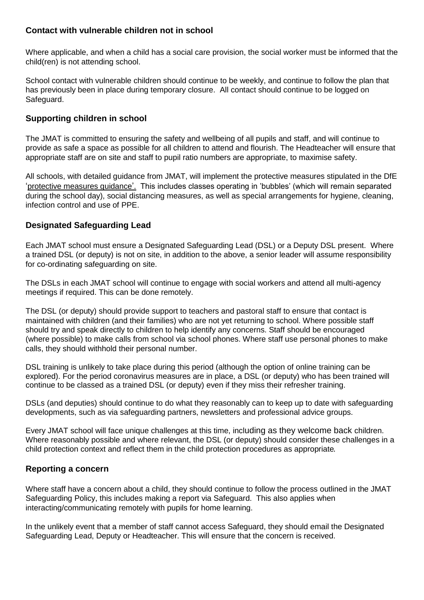# **Contact with vulnerable children not in school**

Where applicable, and when a child has a social care provision, the social worker must be informed that the child(ren) is not attending school.

School contact with vulnerable children should continue to be weekly, and continue to follow the plan that has previously been in place during temporary closure. All contact should continue to be logged on Safeguard.

# **Supporting children in school**

The JMAT is committed to ensuring the safety and wellbeing of all pupils and staff, and will continue to provide as safe a space as possible for all children to attend and flourish. The Headteacher will ensure that appropriate staff are on site and staff to pupil ratio numbers are appropriate, to maximise safety.

All schools, with detailed guidance from JMAT, will implement the protective measures stipulated in the DfE 'protective measures guidance'. This includes classes operating in 'bubbles' (which will remain separated during the school day), social distancing measures, as well as special arrangements for hygiene, cleaning, infection control and use of PPE.

# **Designated Safeguarding Lead**

Each JMAT school must ensure a Designated Safeguarding Lead (DSL) or a Deputy DSL present.Where a trained DSL (or deputy) is not on site, in addition to the above, a senior leader will assume responsibility for co-ordinating safeguarding on site.

The DSLs in each JMAT school will continue to engage with social workers and attend all multi-agency meetings if required. This can be done remotely.

The DSL (or deputy) should provide support to teachers and pastoral staff to ensure that contact is maintained with children (and their families) who are not yet returning to school. Where possible staff should try and speak directly to children to help identify any concerns. Staff should be encouraged (where possible) to make calls from school via school phones. Where staff use personal phones to make calls, they should withhold their personal number.

DSL training is unlikely to take place during this period (although the option of online training can be explored). For the period coronavirus measures are in place, a DSL (or deputy) who has been trained will continue to be classed as a trained DSL (or deputy) even if they miss their refresher training.

DSLs (and deputies) should continue to do what they reasonably can to keep up to date with safeguarding developments, such as via safeguarding partners, newsletters and professional advice groups.

Every JMAT school will face unique challenges at this time, including as they welcome back children. Where reasonably possible and where relevant, the DSL (or deputy) should consider these challenges in a child protection context and reflect them in the child protection procedures as appropriate.

# **Reporting a concern**

Where staff have a concern about a child, they should continue to follow the process outlined in the JMAT Safeguarding Policy, this includes making a report via Safeguard. This also applies when interacting/communicating remotely with pupils for home learning.

In the unlikely event that a member of staff cannot access Safeguard, they should email the Designated Safeguarding Lead, Deputy or Headteacher. This will ensure that the concern is received.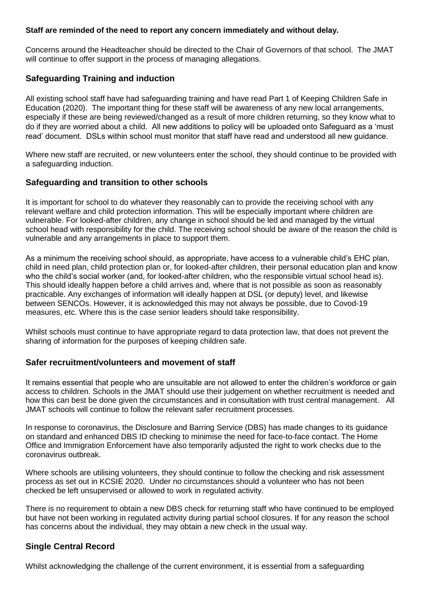#### **Staff are reminded of the need to report any concern immediately and without delay.**

Concerns around the Headteacher should be directed to the Chair of Governors of that school. The JMAT will continue to offer support in the process of managing allegations.

# **Safeguarding Training and induction**

All existing school staff have had safeguarding training and have read Part 1 of Keeping Children Safe in Education (2020). The important thing for these staff will be awareness of any new local arrangements, especially if these are being reviewed/changed as a result of more children returning, so they know what to do if they are worried about a child. All new additions to policy will be uploaded onto Safeguard as a 'must read' document. DSLs within school must monitor that staff have read and understood all new guidance.

Where new staff are recruited, or new volunteers enter the school, they should continue to be provided with a safeguarding induction.

#### **Safeguarding and transition to other schools**

It is important for school to do whatever they reasonably can to provide the receiving school with any relevant welfare and child protection information. This will be especially important where children are vulnerable. For looked-after children, any change in school should be led and managed by the virtual school head with responsibility for the child. The receiving school should be aware of the reason the child is vulnerable and any arrangements in place to support them.

As a minimum the receiving school should, as appropriate, have access to a vulnerable child's EHC plan, child in need plan, child protection plan or, for looked-after children, their personal education plan and know who the child's social worker (and, for looked-after children, who the responsible virtual school head is). This should ideally happen before a child arrives and, where that is not possible as soon as reasonably practicable. Any exchanges of information will ideally happen at DSL (or deputy) level, and likewise between SENCOs. However, it is acknowledged this may not always be possible, due to Covod-19 measures, etc. Where this is the case senior leaders should take responsibility.

Whilst schools must continue to have appropriate regard to data protection law, that does not prevent the sharing of information for the purposes of keeping children safe.

# **Safer recruitment/volunteers and movement of staff**

It remains essential that people who are unsuitable are not allowed to enter the children's workforce or gain access to children. Schools in the JMAT should use their judgement on whether recruitment is needed and how this can best be done given the circumstances and in consultation with trust central management. All JMAT schools will continue to follow the relevant safer recruitment processes.

In response to coronavirus, the Disclosure and Barring Service (DBS) has made changes to its [guidance](https://www.gov.uk/government/news/covid-19-changes-to-dbs-id-checking-guidelines) on standard and [enhanced](https://www.gov.uk/government/news/covid-19-changes-to-dbs-id-checking-guidelines) DBS ID checking to minimise the need for face-to-face contact. The Home Office and Immigration Enforcement have also temporarily adjusted the right to work [checks](https://www.gov.uk/guidance/coronavirus-covid-19-right-to-work-checks) due to the coronavirus outbreak.

Where schools are utilising volunteers, they should continue to follow the checking and risk assessment process as set out in KCSIE 2020. Under no circumstances should a volunteer who has not been checked be left unsupervised or allowed to work in regulated activity.

There is no requirement to obtain a new DBS check for returning staff who have continued to be employed but have not been working in regulated activity during partial school closures. If for any reason the school has concerns about the individual, they may obtain a new check in the usual way.

# **Single Central Record**

Whilst acknowledging the challenge of the current environment, it is essential from a safeguarding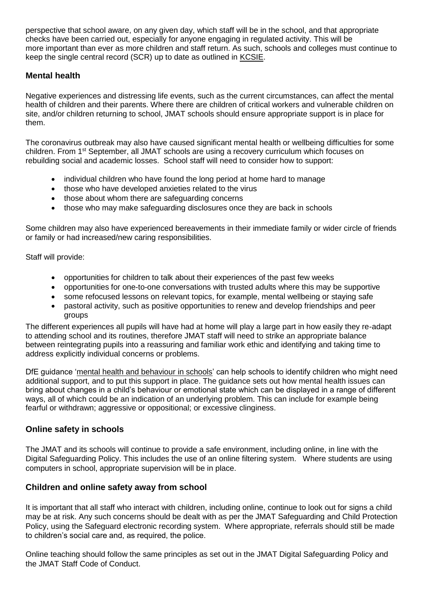perspective that school aware, on any given day, which staff will be in the school, and that appropriate checks have been carried out, especially for anyone engaging in regulated activity. This will be more important than ever as more children and staff return. As such, schools and colleges must continue to keep the single central record (SCR) up to date as outlined in [KCSIE.](https://www.gov.uk/government/publications/keeping-children-safe-in-education--2)

# **Mental health**

Negative experiences and distressing life events, such as the current circumstances, can affect the mental health of children and their parents. Where there are children of critical workers and vulnerable children on site, and/or children returning to school, JMAT schools should ensure appropriate support is in place for them.

The coronavirus outbreak may also have caused significant mental health or wellbeing difficulties for some children. From 1<sup>st</sup> September, all JMAT schools are using a recovery curriculum which focuses on rebuilding social and academic losses. School staff will need to consider how to support:

- individual children who have found the long period at home hard to manage
- those who have developed anxieties related to the virus
- those about whom there are safeguarding concerns
- those who may make safeguarding disclosures once they are back in schools

Some children may also have experienced bereavements in their immediate family or wider circle of friends or family or had increased/new caring responsibilities.

Staff will provide:

- opportunities for children to talk about their experiences of the past few weeks
- opportunities for one-to-one conversations with trusted adults where this may be supportive
- some refocused lessons on relevant topics, for example, mental wellbeing or staying safe
- pastoral activity, such as positive opportunities to renew and develop friendships and peer groups

The different experiences all pupils will have had at home will play a large part in how easily they re-adapt to attending school and its routines, therefore JMAT staff will need to strike an appropriate balance between reintegrating pupils into a reassuring and familiar work ethic and identifying and taking time to address explicitly individual concerns or problems.

DfE guidance 'mental health and [behaviour](https://www.gov.uk/government/publications/mental-health-and-behaviour-in-schools--2) in schools' can help schools to identify children who might need additional support, and to put this support in place. The guidance sets out how mental health issues can bring about changes in a child's behaviour or emotional state which can be displayed in a range of different ways, all of which could be an indication of an underlying problem. This can include for example being fearful or withdrawn; aggressive or oppositional; or excessive clinginess.

# **Online safety in schools**

The JMAT and its schools will continue to provide a safe environment, including online, in line with the Digital Safeguarding Policy. This includes the use of an online filtering system. Where students are using computers in school, appropriate supervision will be in place.

# **Children and online safety away from school**

It is important that all staff who interact with children, including online, continue to look out for signs a child may be at risk. Any such concerns should be dealt with as per the JMAT Safeguarding and Child Protection Policy, using the Safeguard electronic recording system. Where appropriate, referrals should still be made to children's social care and, as required, the police.

Online teaching should follow the same principles as set out in the JMAT Digital Safeguarding Policy and the JMAT Staff Code of Conduct.